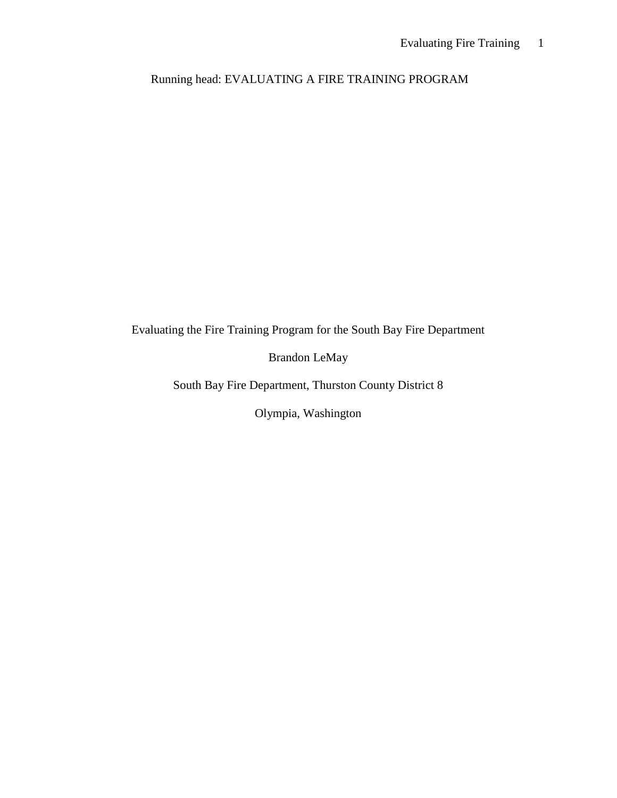Running head: EVALUATING A FIRE TRAINING PROGRAM

Evaluating the Fire Training Program for the South Bay Fire Department

Brandon LeMay

South Bay Fire Department, Thurston County District 8

Olympia, Washington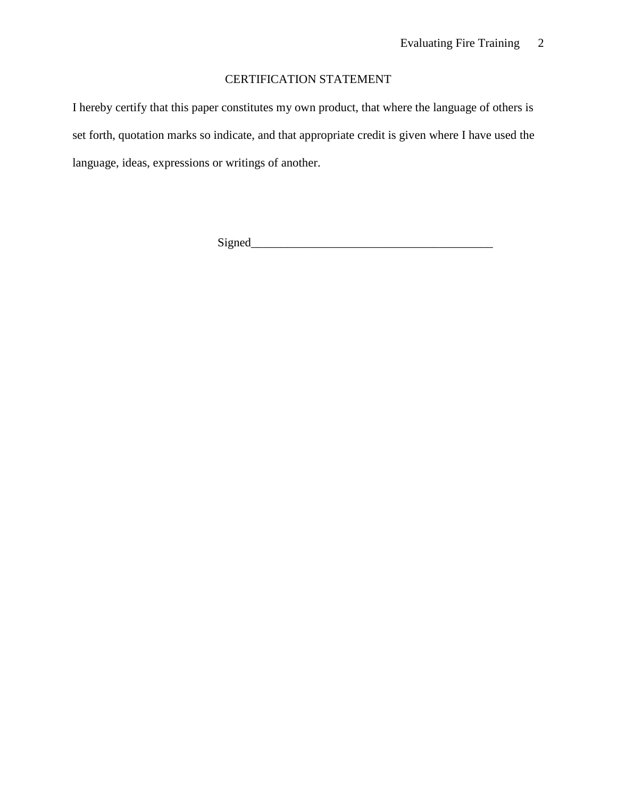## CERTIFICATION STATEMENT

I hereby certify that this paper constitutes my own product, that where the language of others is set forth, quotation marks so indicate, and that appropriate credit is given where I have used the language, ideas, expressions or writings of another.

 $Signal$   $\qquad \qquad$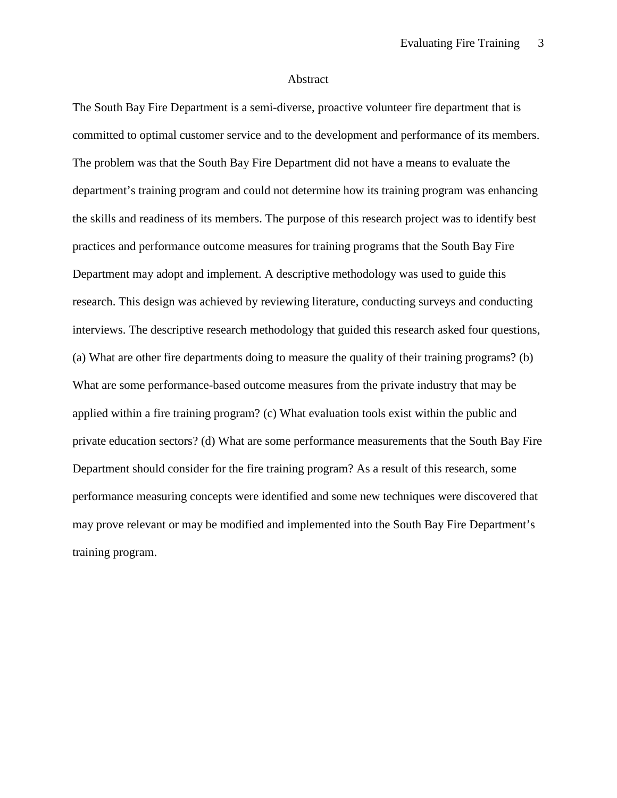#### Abstract

The South Bay Fire Department is a semi-diverse, proactive volunteer fire department that is committed to optimal customer service and to the development and performance of its members. The problem was that the South Bay Fire Department did not have a means to evaluate the department's training program and could not determine how its training program was enhancing the skills and readiness of its members. The purpose of this research project was to identify best practices and performance outcome measures for training programs that the South Bay Fire Department may adopt and implement. A descriptive methodology was used to guide this research. This design was achieved by reviewing literature, conducting surveys and conducting interviews. The descriptive research methodology that guided this research asked four questions, (a) What are other fire departments doing to measure the quality of their training programs? (b) What are some performance-based outcome measures from the private industry that may be applied within a fire training program? (c) What evaluation tools exist within the public and private education sectors? (d) What are some performance measurements that the South Bay Fire Department should consider for the fire training program? As a result of this research, some performance measuring concepts were identified and some new techniques were discovered that may prove relevant or may be modified and implemented into the South Bay Fire Department's training program.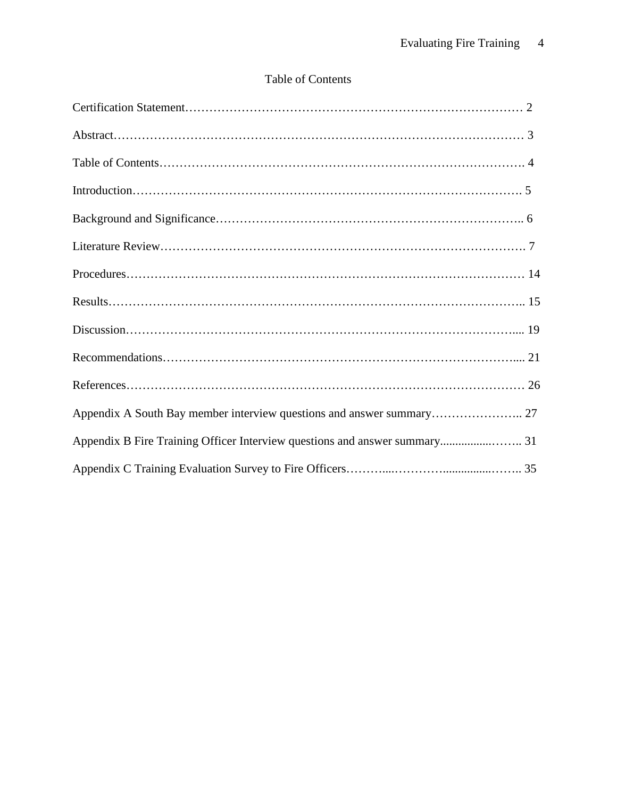# Table of Contents

| Appendix A South Bay member interview questions and answer summary 27 |  |
|-----------------------------------------------------------------------|--|
|                                                                       |  |
|                                                                       |  |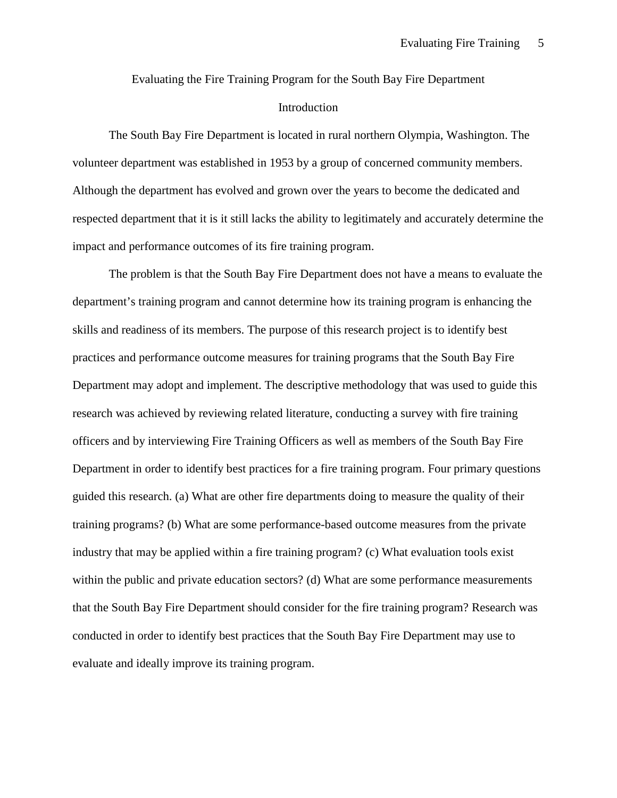Evaluating the Fire Training Program for the South Bay Fire Department Introduction

The South Bay Fire Department is located in rural northern Olympia, Washington. The volunteer department was established in 1953 by a group of concerned community members. Although the department has evolved and grown over the years to become the dedicated and respected department that it is it still lacks the ability to legitimately and accurately determine the impact and performance outcomes of its fire training program.

The problem is that the South Bay Fire Department does not have a means to evaluate the department's training program and cannot determine how its training program is enhancing the skills and readiness of its members. The purpose of this research project is to identify best practices and performance outcome measures for training programs that the South Bay Fire Department may adopt and implement. The descriptive methodology that was used to guide this research was achieved by reviewing related literature, conducting a survey with fire training officers and by interviewing Fire Training Officers as well as members of the South Bay Fire Department in order to identify best practices for a fire training program. Four primary questions guided this research. (a) What are other fire departments doing to measure the quality of their training programs? (b) What are some performance-based outcome measures from the private industry that may be applied within a fire training program? (c) What evaluation tools exist within the public and private education sectors? (d) What are some performance measurements that the South Bay Fire Department should consider for the fire training program? Research was conducted in order to identify best practices that the South Bay Fire Department may use to evaluate and ideally improve its training program.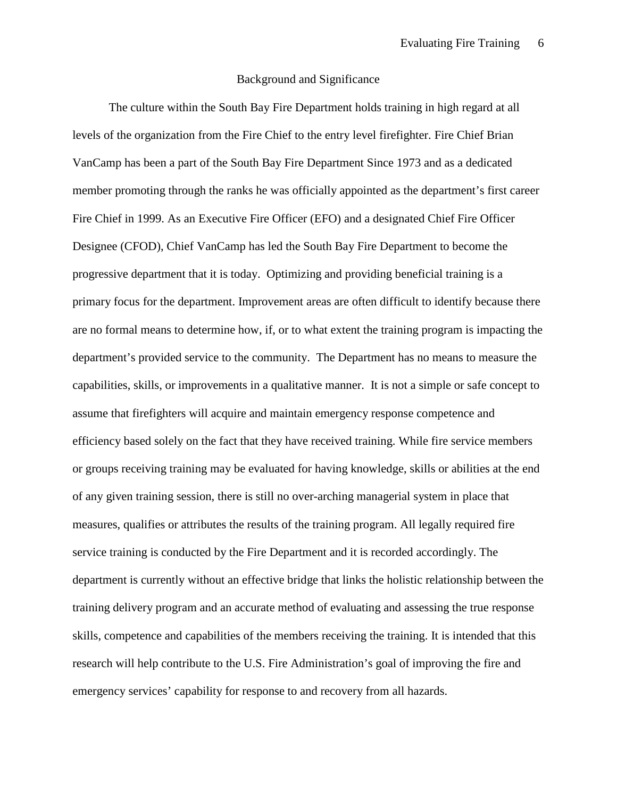#### Background and Significance

The culture within the South Bay Fire Department holds training in high regard at all levels of the organization from the Fire Chief to the entry level firefighter. Fire Chief Brian VanCamp has been a part of the South Bay Fire Department Since 1973 and as a dedicated member promoting through the ranks he was officially appointed as the department's first career Fire Chief in 1999. As an Executive Fire Officer (EFO) and a designated Chief Fire Officer Designee (CFOD), Chief VanCamp has led the South Bay Fire Department to become the progressive department that it is today. Optimizing and providing beneficial training is a primary focus for the department. Improvement areas are often difficult to identify because there are no formal means to determine how, if, or to what extent the training program is impacting the department's provided service to the community. The Department has no means to measure the capabilities, skills, or improvements in a qualitative manner. It is not a simple or safe concept to assume that firefighters will acquire and maintain emergency response competence and efficiency based solely on the fact that they have received training. While fire service members or groups receiving training may be evaluated for having knowledge, skills or abilities at the end of any given training session, there is still no over-arching managerial system in place that measures, qualifies or attributes the results of the training program. All legally required fire service training is conducted by the Fire Department and it is recorded accordingly. The department is currently without an effective bridge that links the holistic relationship between the training delivery program and an accurate method of evaluating and assessing the true response skills, competence and capabilities of the members receiving the training. It is intended that this research will help contribute to the U.S. Fire Administration's goal of improving the fire and emergency services' capability for response to and recovery from all hazards.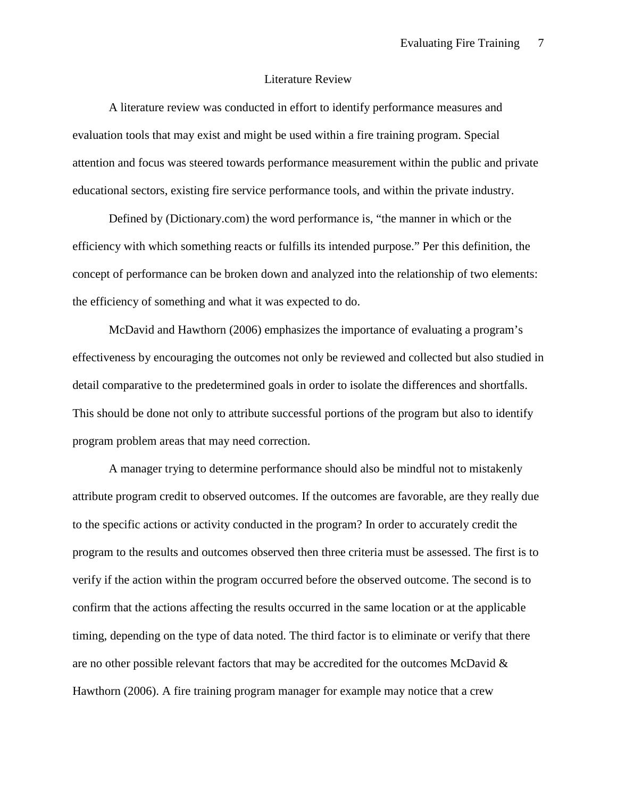#### Literature Review

A literature review was conducted in effort to identify performance measures and evaluation tools that may exist and might be used within a fire training program. Special attention and focus was steered towards performance measurement within the public and private educational sectors, existing fire service performance tools, and within the private industry.

Defined by (Dictionary.com) the word performance is, "the manner in which or the efficiency with which something reacts or fulfills its intended purpose." Per this definition, the concept of performance can be broken down and analyzed into the relationship of two elements: the efficiency of something and what it was expected to do.

McDavid and Hawthorn (2006) emphasizes the importance of evaluating a program's effectiveness by encouraging the outcomes not only be reviewed and collected but also studied in detail comparative to the predetermined goals in order to isolate the differences and shortfalls. This should be done not only to attribute successful portions of the program but also to identify program problem areas that may need correction.

A manager trying to determine performance should also be mindful not to mistakenly attribute program credit to observed outcomes. If the outcomes are favorable, are they really due to the specific actions or activity conducted in the program? In order to accurately credit the program to the results and outcomes observed then three criteria must be assessed. The first is to verify if the action within the program occurred before the observed outcome. The second is to confirm that the actions affecting the results occurred in the same location or at the applicable timing, depending on the type of data noted. The third factor is to eliminate or verify that there are no other possible relevant factors that may be accredited for the outcomes McDavid & Hawthorn (2006). A fire training program manager for example may notice that a crew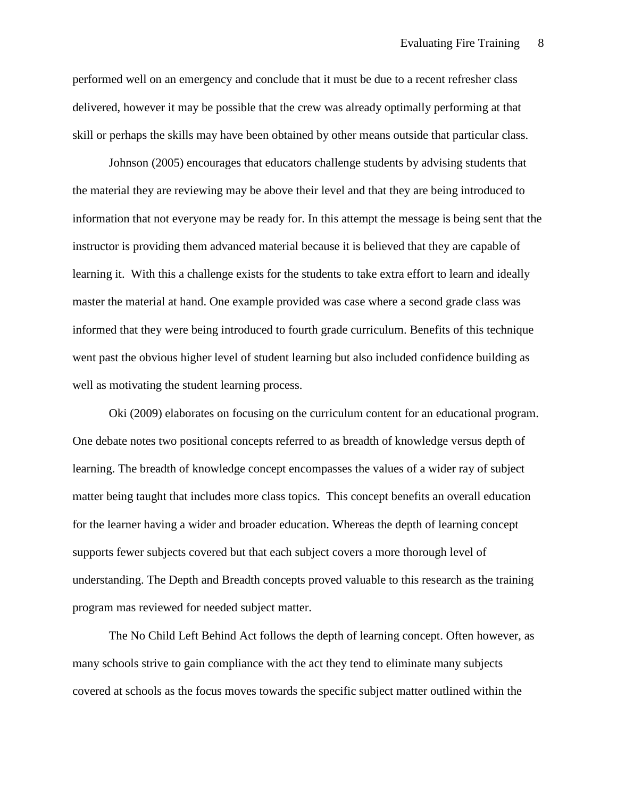performed well on an emergency and conclude that it must be due to a recent refresher class delivered, however it may be possible that the crew was already optimally performing at that skill or perhaps the skills may have been obtained by other means outside that particular class.

Johnson (2005) encourages that educators challenge students by advising students that the material they are reviewing may be above their level and that they are being introduced to information that not everyone may be ready for. In this attempt the message is being sent that the instructor is providing them advanced material because it is believed that they are capable of learning it. With this a challenge exists for the students to take extra effort to learn and ideally master the material at hand. One example provided was case where a second grade class was informed that they were being introduced to fourth grade curriculum. Benefits of this technique went past the obvious higher level of student learning but also included confidence building as well as motivating the student learning process.

Oki (2009) elaborates on focusing on the curriculum content for an educational program. One debate notes two positional concepts referred to as breadth of knowledge versus depth of learning. The breadth of knowledge concept encompasses the values of a wider ray of subject matter being taught that includes more class topics. This concept benefits an overall education for the learner having a wider and broader education. Whereas the depth of learning concept supports fewer subjects covered but that each subject covers a more thorough level of understanding. The Depth and Breadth concepts proved valuable to this research as the training program mas reviewed for needed subject matter.

The No Child Left Behind Act follows the depth of learning concept. Often however, as many schools strive to gain compliance with the act they tend to eliminate many subjects covered at schools as the focus moves towards the specific subject matter outlined within the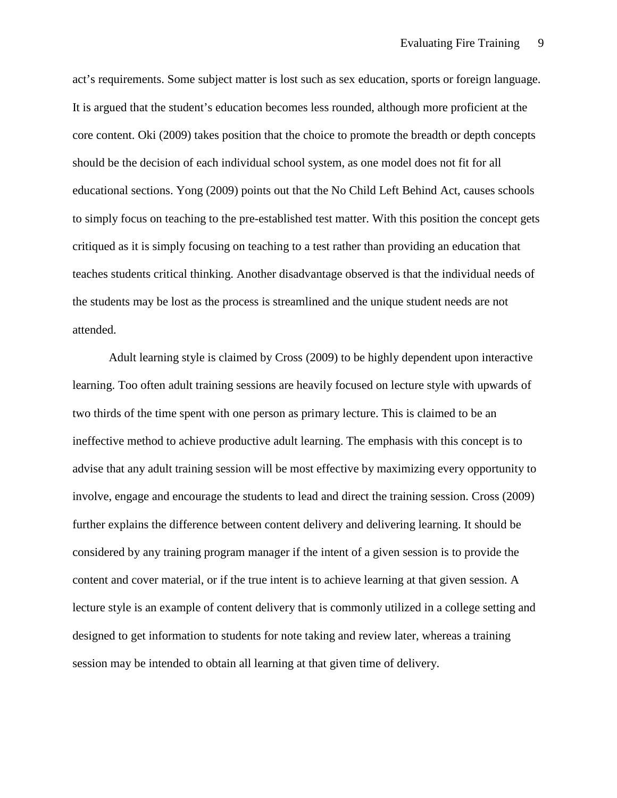act's requirements. Some subject matter is lost such as sex education, sports or foreign language. It is argued that the student's education becomes less rounded, although more proficient at the core content. Oki (2009) takes position that the choice to promote the breadth or depth concepts should be the decision of each individual school system, as one model does not fit for all educational sections. Yong (2009) points out that the No Child Left Behind Act, causes schools to simply focus on teaching to the pre-established test matter. With this position the concept gets critiqued as it is simply focusing on teaching to a test rather than providing an education that teaches students critical thinking. Another disadvantage observed is that the individual needs of the students may be lost as the process is streamlined and the unique student needs are not attended.

Adult learning style is claimed by Cross (2009) to be highly dependent upon interactive learning. Too often adult training sessions are heavily focused on lecture style with upwards of two thirds of the time spent with one person as primary lecture. This is claimed to be an ineffective method to achieve productive adult learning. The emphasis with this concept is to advise that any adult training session will be most effective by maximizing every opportunity to involve, engage and encourage the students to lead and direct the training session. Cross (2009) further explains the difference between content delivery and delivering learning. It should be considered by any training program manager if the intent of a given session is to provide the content and cover material, or if the true intent is to achieve learning at that given session. A lecture style is an example of content delivery that is commonly utilized in a college setting and designed to get information to students for note taking and review later, whereas a training session may be intended to obtain all learning at that given time of delivery.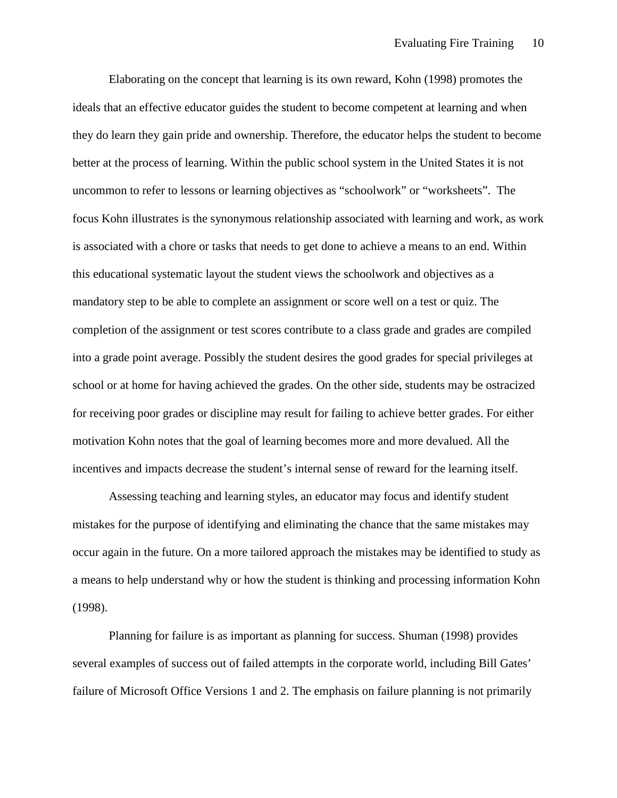Elaborating on the concept that learning is its own reward, Kohn (1998) promotes the ideals that an effective educator guides the student to become competent at learning and when they do learn they gain pride and ownership. Therefore, the educator helps the student to become better at the process of learning. Within the public school system in the United States it is not uncommon to refer to lessons or learning objectives as "schoolwork" or "worksheets". The focus Kohn illustrates is the synonymous relationship associated with learning and work, as work is associated with a chore or tasks that needs to get done to achieve a means to an end. Within this educational systematic layout the student views the schoolwork and objectives as a mandatory step to be able to complete an assignment or score well on a test or quiz. The completion of the assignment or test scores contribute to a class grade and grades are compiled into a grade point average. Possibly the student desires the good grades for special privileges at school or at home for having achieved the grades. On the other side, students may be ostracized for receiving poor grades or discipline may result for failing to achieve better grades. For either motivation Kohn notes that the goal of learning becomes more and more devalued. All the incentives and impacts decrease the student's internal sense of reward for the learning itself.

Assessing teaching and learning styles, an educator may focus and identify student mistakes for the purpose of identifying and eliminating the chance that the same mistakes may occur again in the future. On a more tailored approach the mistakes may be identified to study as a means to help understand why or how the student is thinking and processing information Kohn (1998).

Planning for failure is as important as planning for success. Shuman (1998) provides several examples of success out of failed attempts in the corporate world, including Bill Gates' failure of Microsoft Office Versions 1 and 2. The emphasis on failure planning is not primarily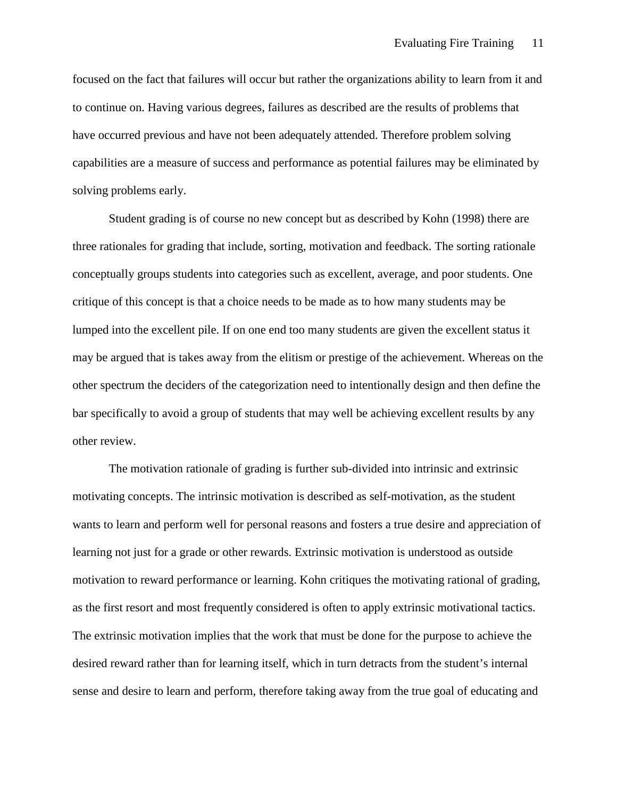focused on the fact that failures will occur but rather the organizations ability to learn from it and to continue on. Having various degrees, failures as described are the results of problems that have occurred previous and have not been adequately attended. Therefore problem solving capabilities are a measure of success and performance as potential failures may be eliminated by solving problems early.

Student grading is of course no new concept but as described by Kohn (1998) there are three rationales for grading that include, sorting, motivation and feedback. The sorting rationale conceptually groups students into categories such as excellent, average, and poor students. One critique of this concept is that a choice needs to be made as to how many students may be lumped into the excellent pile. If on one end too many students are given the excellent status it may be argued that is takes away from the elitism or prestige of the achievement. Whereas on the other spectrum the deciders of the categorization need to intentionally design and then define the bar specifically to avoid a group of students that may well be achieving excellent results by any other review.

The motivation rationale of grading is further sub-divided into intrinsic and extrinsic motivating concepts. The intrinsic motivation is described as self-motivation, as the student wants to learn and perform well for personal reasons and fosters a true desire and appreciation of learning not just for a grade or other rewards. Extrinsic motivation is understood as outside motivation to reward performance or learning. Kohn critiques the motivating rational of grading, as the first resort and most frequently considered is often to apply extrinsic motivational tactics. The extrinsic motivation implies that the work that must be done for the purpose to achieve the desired reward rather than for learning itself, which in turn detracts from the student's internal sense and desire to learn and perform, therefore taking away from the true goal of educating and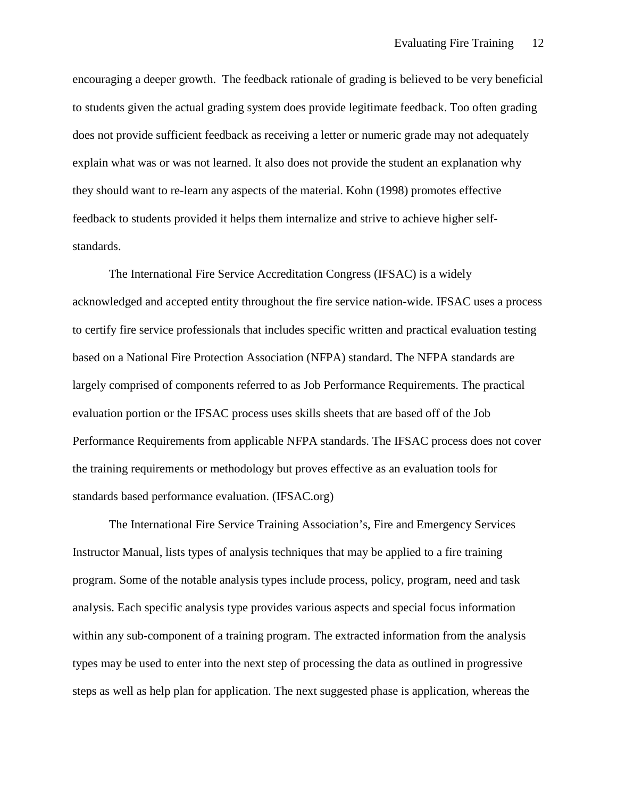encouraging a deeper growth. The feedback rationale of grading is believed to be very beneficial to students given the actual grading system does provide legitimate feedback. Too often grading does not provide sufficient feedback as receiving a letter or numeric grade may not adequately explain what was or was not learned. It also does not provide the student an explanation why they should want to re-learn any aspects of the material. Kohn (1998) promotes effective feedback to students provided it helps them internalize and strive to achieve higher selfstandards.

The International Fire Service Accreditation Congress (IFSAC) is a widely acknowledged and accepted entity throughout the fire service nation-wide. IFSAC uses a process to certify fire service professionals that includes specific written and practical evaluation testing based on a National Fire Protection Association (NFPA) standard. The NFPA standards are largely comprised of components referred to as Job Performance Requirements. The practical evaluation portion or the IFSAC process uses skills sheets that are based off of the Job Performance Requirements from applicable NFPA standards. The IFSAC process does not cover the training requirements or methodology but proves effective as an evaluation tools for standards based performance evaluation. (IFSAC.org)

The International Fire Service Training Association's, Fire and Emergency Services Instructor Manual, lists types of analysis techniques that may be applied to a fire training program. Some of the notable analysis types include process, policy, program, need and task analysis. Each specific analysis type provides various aspects and special focus information within any sub-component of a training program. The extracted information from the analysis types may be used to enter into the next step of processing the data as outlined in progressive steps as well as help plan for application. The next suggested phase is application, whereas the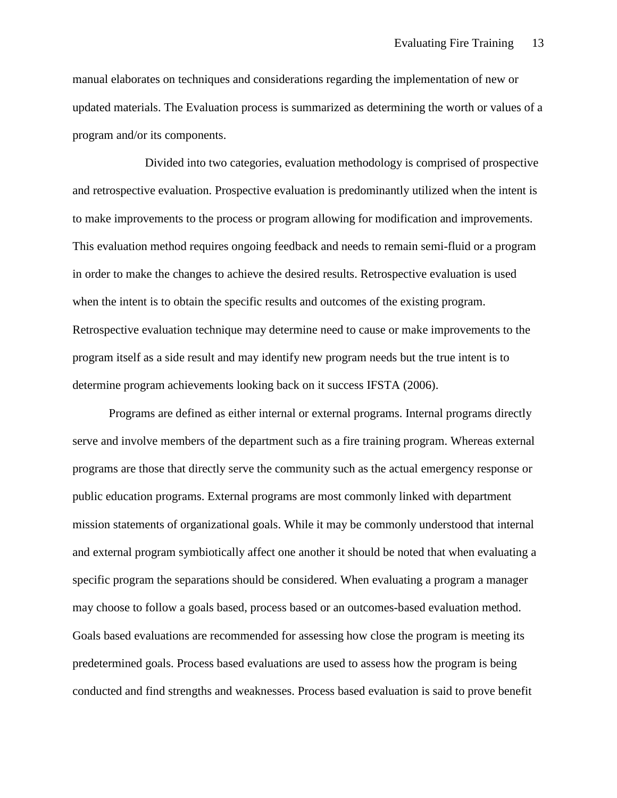manual elaborates on techniques and considerations regarding the implementation of new or updated materials. The Evaluation process is summarized as determining the worth or values of a program and/or its components.

Divided into two categories, evaluation methodology is comprised of prospective and retrospective evaluation. Prospective evaluation is predominantly utilized when the intent is to make improvements to the process or program allowing for modification and improvements. This evaluation method requires ongoing feedback and needs to remain semi-fluid or a program in order to make the changes to achieve the desired results. Retrospective evaluation is used when the intent is to obtain the specific results and outcomes of the existing program. Retrospective evaluation technique may determine need to cause or make improvements to the program itself as a side result and may identify new program needs but the true intent is to determine program achievements looking back on it success IFSTA (2006).

Programs are defined as either internal or external programs. Internal programs directly serve and involve members of the department such as a fire training program. Whereas external programs are those that directly serve the community such as the actual emergency response or public education programs. External programs are most commonly linked with department mission statements of organizational goals. While it may be commonly understood that internal and external program symbiotically affect one another it should be noted that when evaluating a specific program the separations should be considered. When evaluating a program a manager may choose to follow a goals based, process based or an outcomes-based evaluation method. Goals based evaluations are recommended for assessing how close the program is meeting its predetermined goals. Process based evaluations are used to assess how the program is being conducted and find strengths and weaknesses. Process based evaluation is said to prove benefit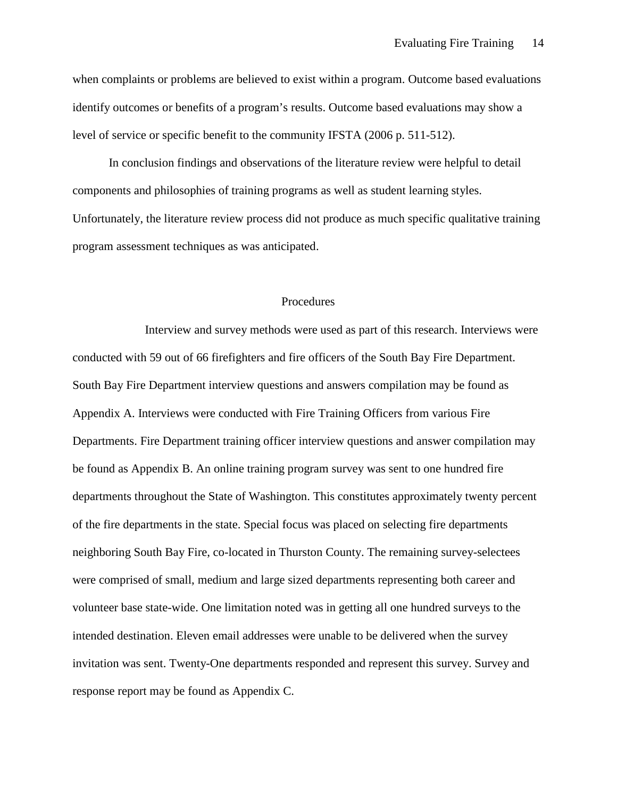when complaints or problems are believed to exist within a program. Outcome based evaluations identify outcomes or benefits of a program's results. Outcome based evaluations may show a level of service or specific benefit to the community IFSTA (2006 p. 511-512).

In conclusion findings and observations of the literature review were helpful to detail components and philosophies of training programs as well as student learning styles. Unfortunately, the literature review process did not produce as much specific qualitative training program assessment techniques as was anticipated.

#### Procedures

Interview and survey methods were used as part of this research. Interviews were conducted with 59 out of 66 firefighters and fire officers of the South Bay Fire Department. South Bay Fire Department interview questions and answers compilation may be found as Appendix A. Interviews were conducted with Fire Training Officers from various Fire Departments. Fire Department training officer interview questions and answer compilation may be found as Appendix B. An online training program survey was sent to one hundred fire departments throughout the State of Washington. This constitutes approximately twenty percent of the fire departments in the state. Special focus was placed on selecting fire departments neighboring South Bay Fire, co-located in Thurston County. The remaining survey-selectees were comprised of small, medium and large sized departments representing both career and volunteer base state-wide. One limitation noted was in getting all one hundred surveys to the intended destination. Eleven email addresses were unable to be delivered when the survey invitation was sent. Twenty-One departments responded and represent this survey. Survey and response report may be found as Appendix C.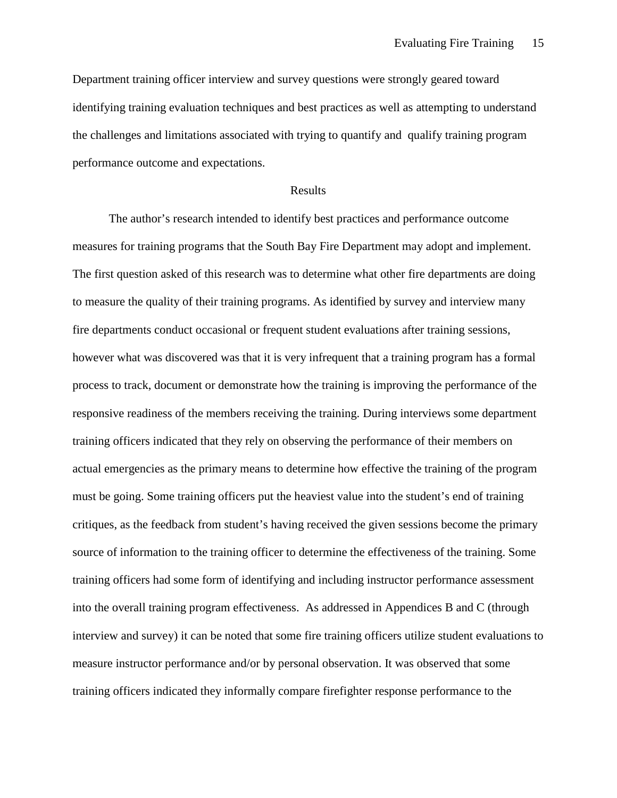Department training officer interview and survey questions were strongly geared toward identifying training evaluation techniques and best practices as well as attempting to understand the challenges and limitations associated with trying to quantify and qualify training program performance outcome and expectations.

#### Results

The author's research intended to identify best practices and performance outcome measures for training programs that the South Bay Fire Department may adopt and implement. The first question asked of this research was to determine what other fire departments are doing to measure the quality of their training programs. As identified by survey and interview many fire departments conduct occasional or frequent student evaluations after training sessions, however what was discovered was that it is very infrequent that a training program has a formal process to track, document or demonstrate how the training is improving the performance of the responsive readiness of the members receiving the training. During interviews some department training officers indicated that they rely on observing the performance of their members on actual emergencies as the primary means to determine how effective the training of the program must be going. Some training officers put the heaviest value into the student's end of training critiques, as the feedback from student's having received the given sessions become the primary source of information to the training officer to determine the effectiveness of the training. Some training officers had some form of identifying and including instructor performance assessment into the overall training program effectiveness. As addressed in Appendices B and C (through interview and survey) it can be noted that some fire training officers utilize student evaluations to measure instructor performance and/or by personal observation. It was observed that some training officers indicated they informally compare firefighter response performance to the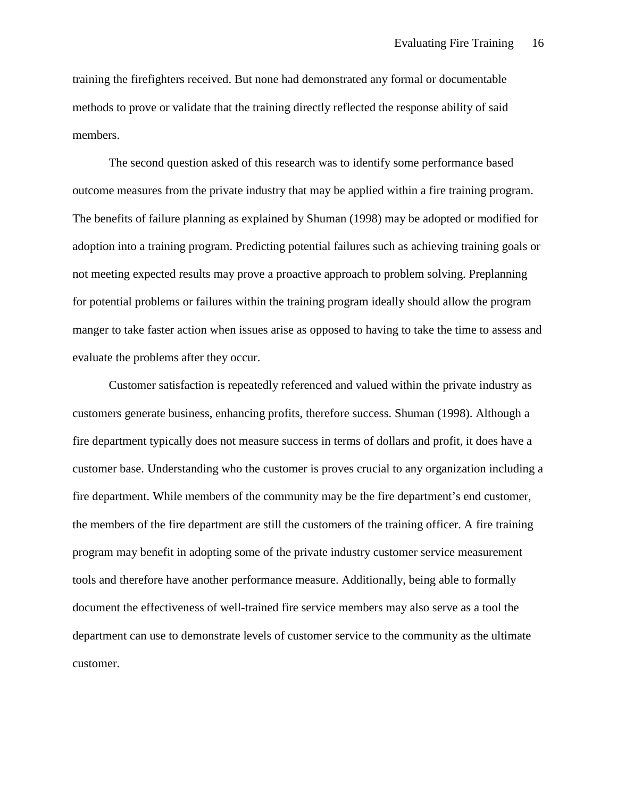training the firefighters received. But none had demonstrated any formal or documentable methods to prove or validate that the training directly reflected the response ability of said members.

The second question asked of this research was to identify some performance based outcome measures from the private industry that may be applied within a fire training program. The benefits of failure planning as explained by Shuman (1998) may be adopted or modified for adoption into a training program. Predicting potential failures such as achieving training goals or not meeting expected results may prove a proactive approach to problem solving. Preplanning for potential problems or failures within the training program ideally should allow the program manger to take faster action when issues arise as opposed to having to take the time to assess and evaluate the problems after they occur.

Customer satisfaction is repeatedly referenced and valued within the private industry as customers generate business, enhancing profits, therefore success. Shuman (1998). Although a fire department typically does not measure success in terms of dollars and profit, it does have a customer base. Understanding who the customer is proves crucial to any organization including a fire department. While members of the community may be the fire department's end customer, the members of the fire department are still the customers of the training officer. A fire training program may benefit in adopting some of the private industry customer service measurement tools and therefore have another performance measure. Additionally, being able to formally document the effectiveness of well-trained fire service members may also serve as a tool the department can use to demonstrate levels of customer service to the community as the ultimate customer.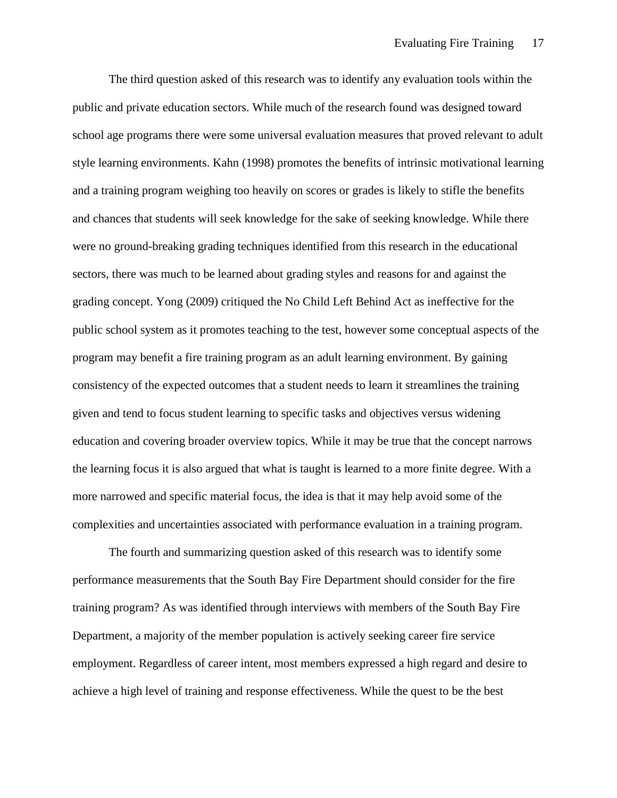The third question asked of this research was to identify any evaluation tools within the public and private education sectors. While much of the research found was designed toward school age programs there were some universal evaluation measures that proved relevant to adult style learning environments. Kahn (1998) promotes the benefits of intrinsic motivational learning and a training program weighing too heavily on scores or grades is likely to stifle the benefits and chances that students will seek knowledge for the sake of seeking knowledge. While there were no ground-breaking grading techniques identified from this research in the educational sectors, there was much to be learned about grading styles and reasons for and against the grading concept. Yong (2009) critiqued the No Child Left Behind Act as ineffective for the public school system as it promotes teaching to the test, however some conceptual aspects of the program may benefit a fire training program as an adult learning environment. By gaining consistency of the expected outcomes that a student needs to learn it streamlines the training given and tend to focus student learning to specific tasks and objectives versus widening education and covering broader overview topics. While it may be true that the concept narrows the learning focus it is also argued that what is taught is learned to a more finite degree. With a more narrowed and specific material focus, the idea is that it may help avoid some of the complexities and uncertainties associated with performance evaluation in a training program.

The fourth and summarizing question asked of this research was to identify some performance measurements that the South Bay Fire Department should consider for the fire training program? As was identified through interviews with members of the South Bay Fire Department, a majority of the member population is actively seeking career fire service employment. Regardless of career intent, most members expressed a high regard and desire to achieve a high level of training and response effectiveness. While the quest to be the best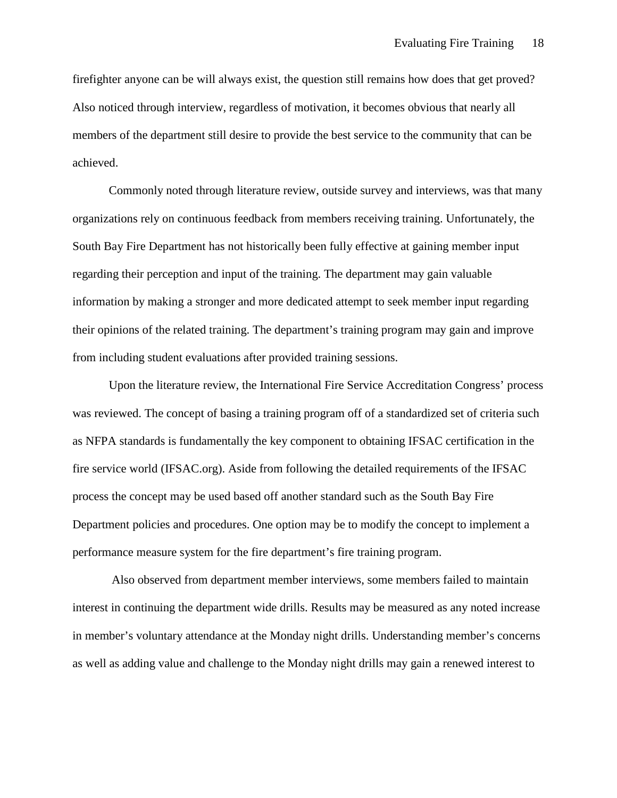firefighter anyone can be will always exist, the question still remains how does that get proved? Also noticed through interview, regardless of motivation, it becomes obvious that nearly all members of the department still desire to provide the best service to the community that can be achieved.

Commonly noted through literature review, outside survey and interviews, was that many organizations rely on continuous feedback from members receiving training. Unfortunately, the South Bay Fire Department has not historically been fully effective at gaining member input regarding their perception and input of the training. The department may gain valuable information by making a stronger and more dedicated attempt to seek member input regarding their opinions of the related training. The department's training program may gain and improve from including student evaluations after provided training sessions.

Upon the literature review, the International Fire Service Accreditation Congress' process was reviewed. The concept of basing a training program off of a standardized set of criteria such as NFPA standards is fundamentally the key component to obtaining IFSAC certification in the fire service world (IFSAC.org). Aside from following the detailed requirements of the IFSAC process the concept may be used based off another standard such as the South Bay Fire Department policies and procedures. One option may be to modify the concept to implement a performance measure system for the fire department's fire training program.

Also observed from department member interviews, some members failed to maintain interest in continuing the department wide drills. Results may be measured as any noted increase in member's voluntary attendance at the Monday night drills. Understanding member's concerns as well as adding value and challenge to the Monday night drills may gain a renewed interest to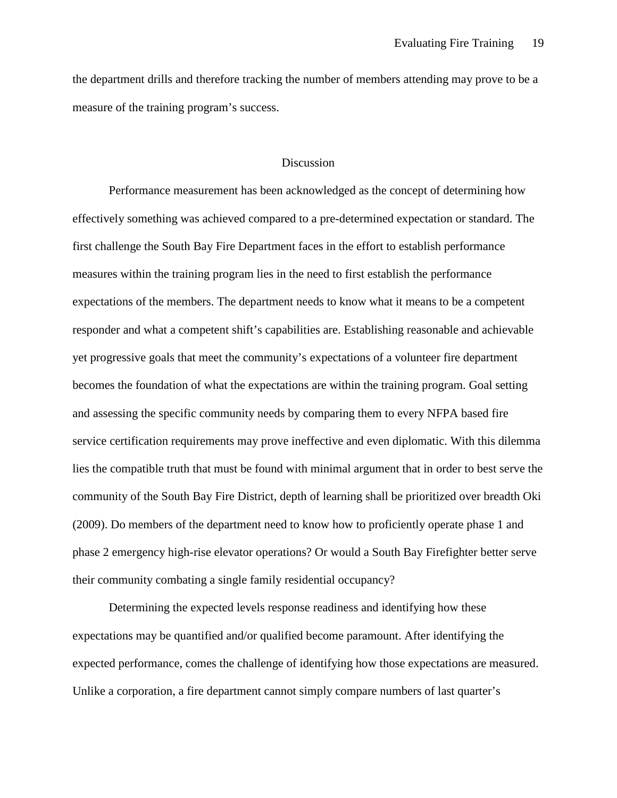the department drills and therefore tracking the number of members attending may prove to be a measure of the training program's success.

### **Discussion**

Performance measurement has been acknowledged as the concept of determining how effectively something was achieved compared to a pre-determined expectation or standard. The first challenge the South Bay Fire Department faces in the effort to establish performance measures within the training program lies in the need to first establish the performance expectations of the members. The department needs to know what it means to be a competent responder and what a competent shift's capabilities are. Establishing reasonable and achievable yet progressive goals that meet the community's expectations of a volunteer fire department becomes the foundation of what the expectations are within the training program. Goal setting and assessing the specific community needs by comparing them to every NFPA based fire service certification requirements may prove ineffective and even diplomatic. With this dilemma lies the compatible truth that must be found with minimal argument that in order to best serve the community of the South Bay Fire District, depth of learning shall be prioritized over breadth Oki (2009). Do members of the department need to know how to proficiently operate phase 1 and phase 2 emergency high-rise elevator operations? Or would a South Bay Firefighter better serve their community combating a single family residential occupancy?

Determining the expected levels response readiness and identifying how these expectations may be quantified and/or qualified become paramount. After identifying the expected performance, comes the challenge of identifying how those expectations are measured. Unlike a corporation, a fire department cannot simply compare numbers of last quarter's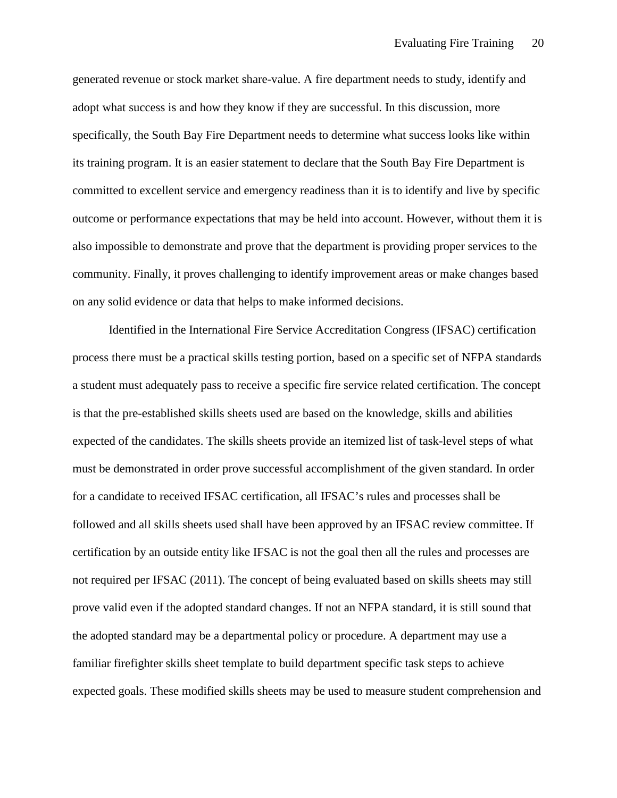generated revenue or stock market share-value. A fire department needs to study, identify and adopt what success is and how they know if they are successful. In this discussion, more specifically, the South Bay Fire Department needs to determine what success looks like within its training program. It is an easier statement to declare that the South Bay Fire Department is committed to excellent service and emergency readiness than it is to identify and live by specific outcome or performance expectations that may be held into account. However, without them it is also impossible to demonstrate and prove that the department is providing proper services to the community. Finally, it proves challenging to identify improvement areas or make changes based on any solid evidence or data that helps to make informed decisions.

Identified in the International Fire Service Accreditation Congress (IFSAC) certification process there must be a practical skills testing portion, based on a specific set of NFPA standards a student must adequately pass to receive a specific fire service related certification. The concept is that the pre-established skills sheets used are based on the knowledge, skills and abilities expected of the candidates. The skills sheets provide an itemized list of task-level steps of what must be demonstrated in order prove successful accomplishment of the given standard. In order for a candidate to received IFSAC certification, all IFSAC's rules and processes shall be followed and all skills sheets used shall have been approved by an IFSAC review committee. If certification by an outside entity like IFSAC is not the goal then all the rules and processes are not required per IFSAC (2011). The concept of being evaluated based on skills sheets may still prove valid even if the adopted standard changes. If not an NFPA standard, it is still sound that the adopted standard may be a departmental policy or procedure. A department may use a familiar firefighter skills sheet template to build department specific task steps to achieve expected goals. These modified skills sheets may be used to measure student comprehension and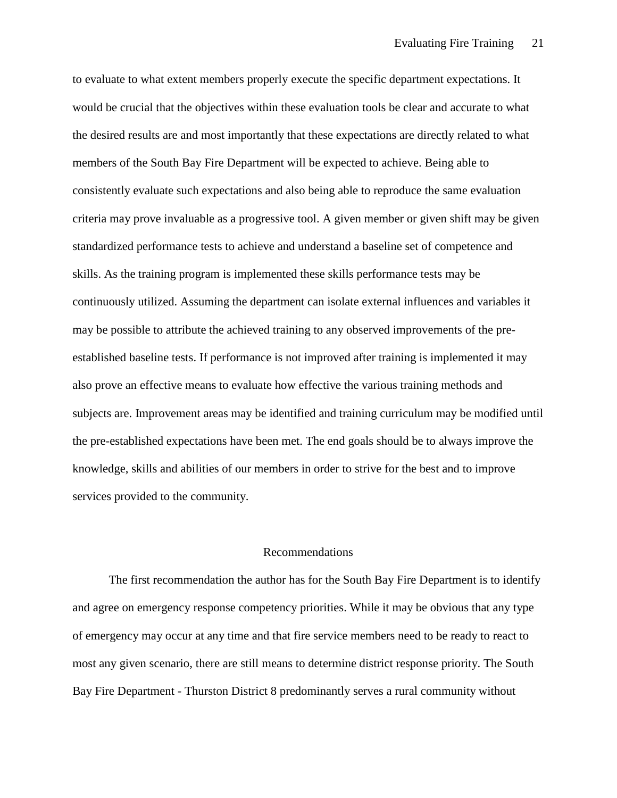to evaluate to what extent members properly execute the specific department expectations. It would be crucial that the objectives within these evaluation tools be clear and accurate to what the desired results are and most importantly that these expectations are directly related to what members of the South Bay Fire Department will be expected to achieve. Being able to consistently evaluate such expectations and also being able to reproduce the same evaluation criteria may prove invaluable as a progressive tool. A given member or given shift may be given standardized performance tests to achieve and understand a baseline set of competence and skills. As the training program is implemented these skills performance tests may be continuously utilized. Assuming the department can isolate external influences and variables it may be possible to attribute the achieved training to any observed improvements of the preestablished baseline tests. If performance is not improved after training is implemented it may also prove an effective means to evaluate how effective the various training methods and subjects are. Improvement areas may be identified and training curriculum may be modified until the pre-established expectations have been met. The end goals should be to always improve the knowledge, skills and abilities of our members in order to strive for the best and to improve services provided to the community.

#### Recommendations

The first recommendation the author has for the South Bay Fire Department is to identify and agree on emergency response competency priorities. While it may be obvious that any type of emergency may occur at any time and that fire service members need to be ready to react to most any given scenario, there are still means to determine district response priority. The South Bay Fire Department - Thurston District 8 predominantly serves a rural community without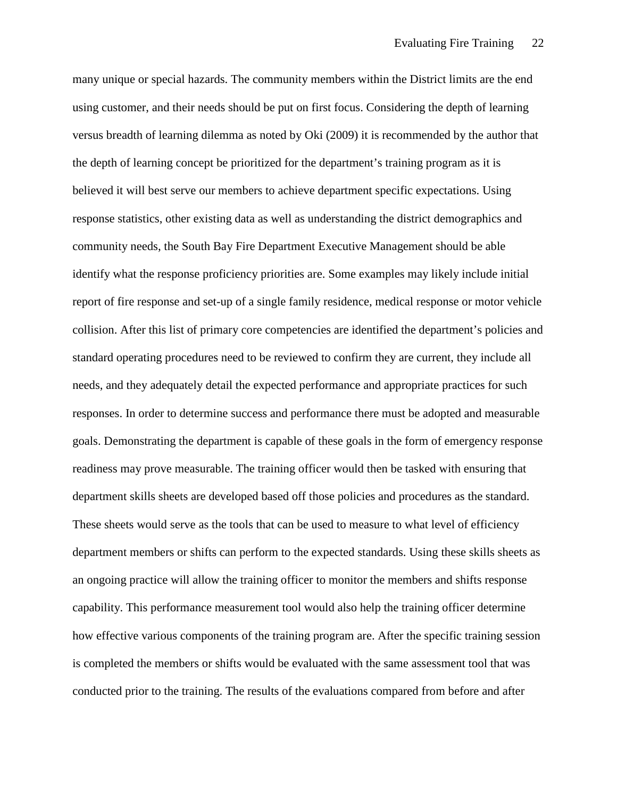many unique or special hazards. The community members within the District limits are the end using customer, and their needs should be put on first focus. Considering the depth of learning versus breadth of learning dilemma as noted by Oki (2009) it is recommended by the author that the depth of learning concept be prioritized for the department's training program as it is believed it will best serve our members to achieve department specific expectations. Using response statistics, other existing data as well as understanding the district demographics and community needs, the South Bay Fire Department Executive Management should be able identify what the response proficiency priorities are. Some examples may likely include initial report of fire response and set-up of a single family residence, medical response or motor vehicle collision. After this list of primary core competencies are identified the department's policies and standard operating procedures need to be reviewed to confirm they are current, they include all needs, and they adequately detail the expected performance and appropriate practices for such responses. In order to determine success and performance there must be adopted and measurable goals. Demonstrating the department is capable of these goals in the form of emergency response readiness may prove measurable. The training officer would then be tasked with ensuring that department skills sheets are developed based off those policies and procedures as the standard. These sheets would serve as the tools that can be used to measure to what level of efficiency department members or shifts can perform to the expected standards. Using these skills sheets as an ongoing practice will allow the training officer to monitor the members and shifts response capability. This performance measurement tool would also help the training officer determine how effective various components of the training program are. After the specific training session is completed the members or shifts would be evaluated with the same assessment tool that was conducted prior to the training. The results of the evaluations compared from before and after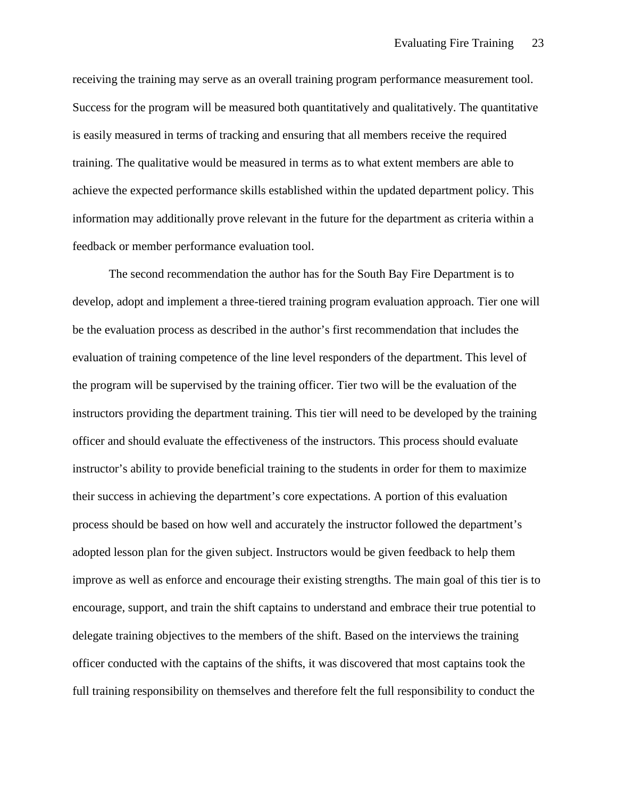receiving the training may serve as an overall training program performance measurement tool. Success for the program will be measured both quantitatively and qualitatively. The quantitative is easily measured in terms of tracking and ensuring that all members receive the required training. The qualitative would be measured in terms as to what extent members are able to achieve the expected performance skills established within the updated department policy. This information may additionally prove relevant in the future for the department as criteria within a feedback or member performance evaluation tool.

The second recommendation the author has for the South Bay Fire Department is to develop, adopt and implement a three-tiered training program evaluation approach. Tier one will be the evaluation process as described in the author's first recommendation that includes the evaluation of training competence of the line level responders of the department. This level of the program will be supervised by the training officer. Tier two will be the evaluation of the instructors providing the department training. This tier will need to be developed by the training officer and should evaluate the effectiveness of the instructors. This process should evaluate instructor's ability to provide beneficial training to the students in order for them to maximize their success in achieving the department's core expectations. A portion of this evaluation process should be based on how well and accurately the instructor followed the department's adopted lesson plan for the given subject. Instructors would be given feedback to help them improve as well as enforce and encourage their existing strengths. The main goal of this tier is to encourage, support, and train the shift captains to understand and embrace their true potential to delegate training objectives to the members of the shift. Based on the interviews the training officer conducted with the captains of the shifts, it was discovered that most captains took the full training responsibility on themselves and therefore felt the full responsibility to conduct the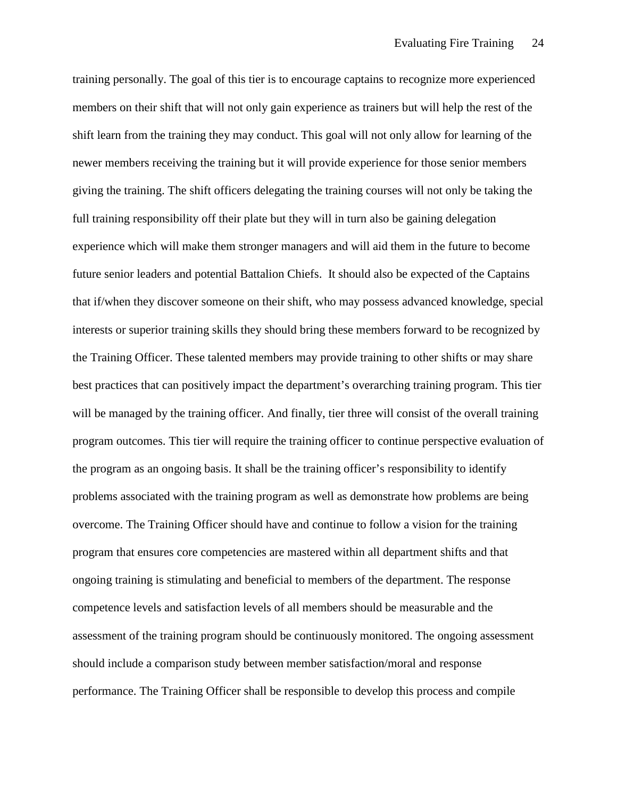training personally. The goal of this tier is to encourage captains to recognize more experienced members on their shift that will not only gain experience as trainers but will help the rest of the shift learn from the training they may conduct. This goal will not only allow for learning of the newer members receiving the training but it will provide experience for those senior members giving the training. The shift officers delegating the training courses will not only be taking the full training responsibility off their plate but they will in turn also be gaining delegation experience which will make them stronger managers and will aid them in the future to become future senior leaders and potential Battalion Chiefs. It should also be expected of the Captains that if/when they discover someone on their shift, who may possess advanced knowledge, special interests or superior training skills they should bring these members forward to be recognized by the Training Officer. These talented members may provide training to other shifts or may share best practices that can positively impact the department's overarching training program. This tier will be managed by the training officer. And finally, tier three will consist of the overall training program outcomes. This tier will require the training officer to continue perspective evaluation of the program as an ongoing basis. It shall be the training officer's responsibility to identify problems associated with the training program as well as demonstrate how problems are being overcome. The Training Officer should have and continue to follow a vision for the training program that ensures core competencies are mastered within all department shifts and that ongoing training is stimulating and beneficial to members of the department. The response competence levels and satisfaction levels of all members should be measurable and the assessment of the training program should be continuously monitored. The ongoing assessment should include a comparison study between member satisfaction/moral and response performance. The Training Officer shall be responsible to develop this process and compile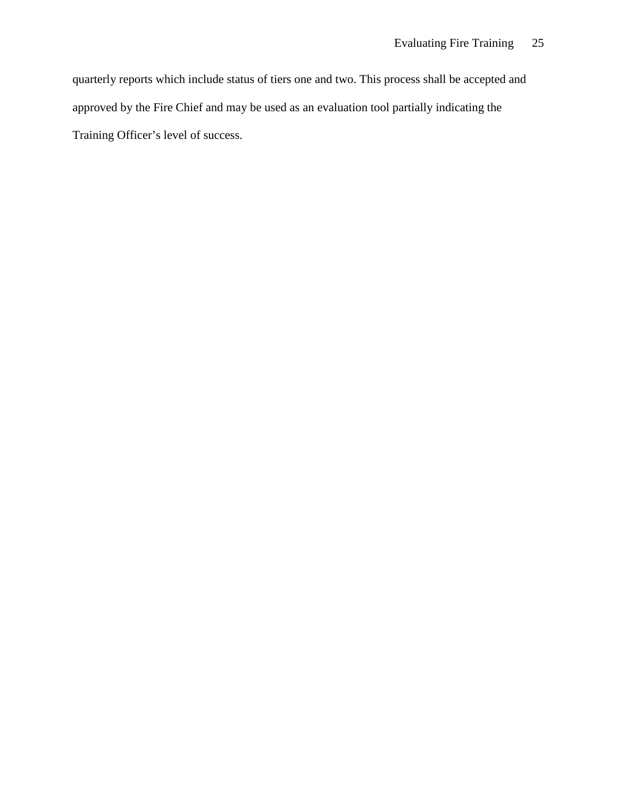quarterly reports which include status of tiers one and two. This process shall be accepted and approved by the Fire Chief and may be used as an evaluation tool partially indicating the Training Officer's level of success.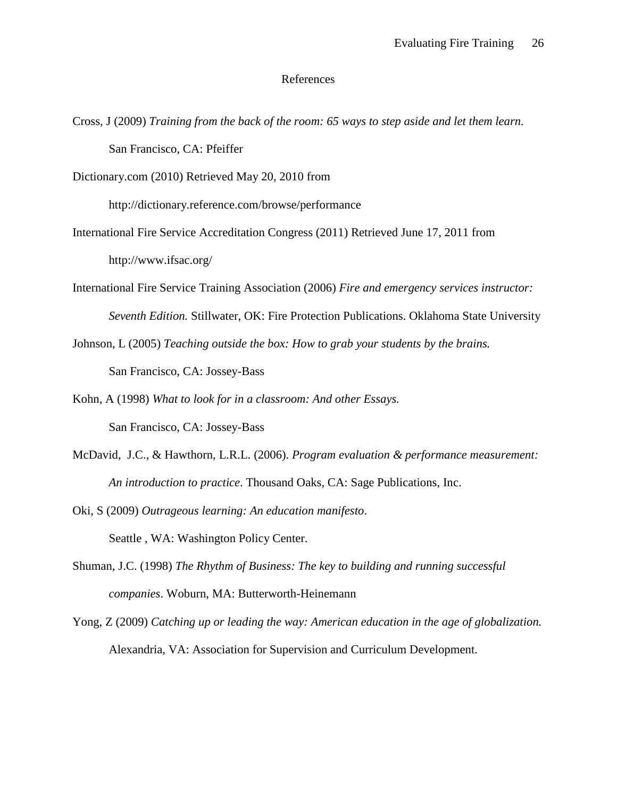#### References

Cross, J (2009) *Training from the back of the room: 65 ways to step aside and let them learn.* San Francisco, CA: Pfeiffer

Dictionary.com (2010) Retrieved May 20, 2010 from

http://dictionary.reference.com/browse/performance

- International Fire Service Accreditation Congress (2011) Retrieved June 17, 2011 from http://www.ifsac.org/
- International Fire Service Training Association (2006) *Fire and emergency services instructor: Seventh Edition.* Stillwater, OK: Fire Protection Publications. Oklahoma State University
- Johnson, L (2005) *Teaching outside the box: How to grab your students by the brains.*  San Francisco, CA: Jossey-Bass
- Kohn, A (1998) *What to look for in a classroom: And other Essays.* San Francisco, CA: Jossey-Bass
- McDavid, J.C., & Hawthorn, L.R.L. (2006). *Program evaluation & performance measurement: An introduction to practice*. Thousand Oaks, CA: Sage Publications, Inc.
- Oki, S (2009) *Outrageous learning: An education manifesto*. Seattle , WA: Washington Policy Center.
- Shuman, J.C. (1998) *The Rhythm of Business: The key to building and running successful companies*. Woburn, MA: Butterworth-Heinemann
- Yong, Z (2009) *Catching up or leading the way: American education in the age of globalization.* Alexandria, VA: Association for Supervision and Curriculum Development.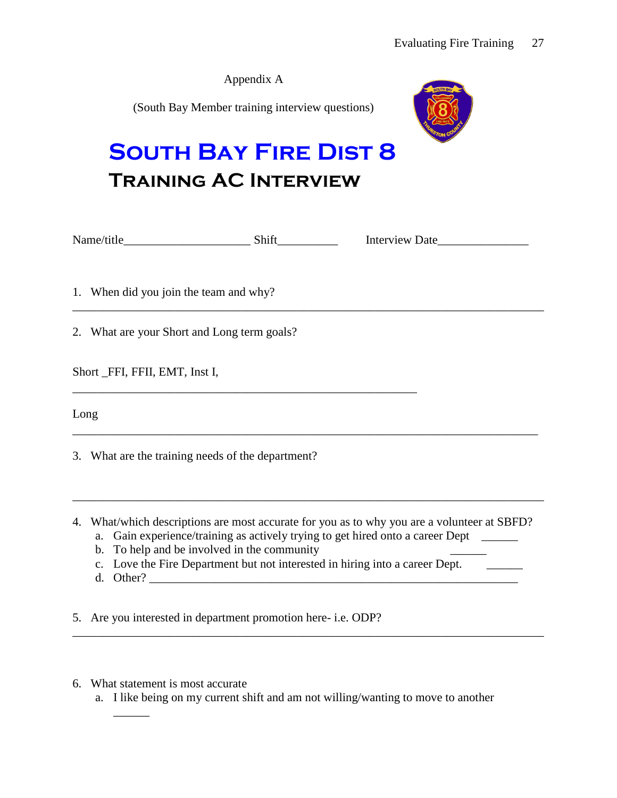| <b>SOUTH BAY FIRE DIST 8</b><br><b>TRAINING AC INTERVIEW</b> | Appendix A<br>(South Bay Member training interview questions) |  |
|--------------------------------------------------------------|---------------------------------------------------------------|--|
|                                                              |                                                               |  |
| 1. When did you join the team and why?                       |                                                               |  |
| 2. What are your Short and Long term goals?                  |                                                               |  |
| Short FFI, FFII, EMT, Inst I,                                |                                                               |  |
| Long                                                         |                                                               |  |
| 3. What are the training needs of the department?            |                                                               |  |

- 4. What/which descriptions are most accurate for you as to why you are a volunteer at SBFD?
	- a. Gain experience/training as actively trying to get hired onto a career Dept \_\_\_\_\_\_
	- b. To help and be involved in the community
	- c. Love the Fire Department but not interested in hiring into a career Dept. \_\_\_\_\_\_\_
	- d. Other?  $\Box$

 $\overline{\phantom{a}}$ 

5. Are you interested in department promotion here- i.e. ODP?

- 6. What statement is most accurate
	- a. I like being on my current shift and am not willing/wanting to move to another

\_\_\_\_\_\_\_\_\_\_\_\_\_\_\_\_\_\_\_\_\_\_\_\_\_\_\_\_\_\_\_\_\_\_\_\_\_\_\_\_\_\_\_\_\_\_\_\_\_\_\_\_\_\_\_\_\_\_\_\_\_\_\_\_\_\_\_\_\_\_\_\_\_\_\_\_\_\_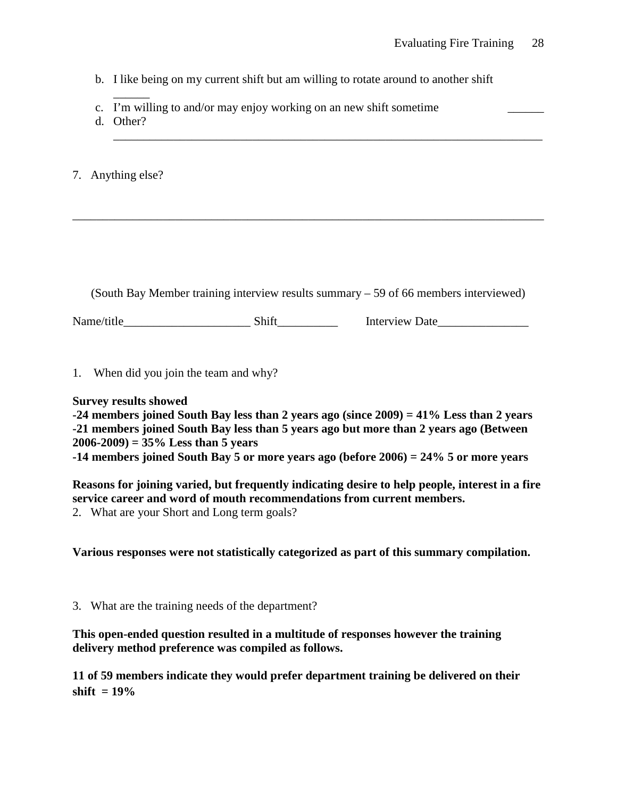b. I like being on my current shift but am willing to rotate around to another shift

\_\_\_\_\_\_\_\_\_\_\_\_\_\_\_\_\_\_\_\_\_\_\_\_\_\_\_\_\_\_\_\_\_\_\_\_\_\_\_\_\_\_\_\_\_\_\_\_\_\_\_\_\_\_\_\_\_\_\_\_\_\_\_\_\_\_\_\_\_\_\_

- c. I'm willing to and/or may enjoy working on an new shift sometime
- d. Other?

 $\overline{\phantom{a}}$ 

7. Anything else?

(South Bay Member training interview results summary – 59 of 66 members interviewed)

\_\_\_\_\_\_\_\_\_\_\_\_\_\_\_\_\_\_\_\_\_\_\_\_\_\_\_\_\_\_\_\_\_\_\_\_\_\_\_\_\_\_\_\_\_\_\_\_\_\_\_\_\_\_\_\_\_\_\_\_\_\_\_\_\_\_\_\_\_\_\_\_\_\_\_\_\_\_

Name/title Shift Interview Date

1. When did you join the team and why?

## **Survey results showed**

**-24 members joined South Bay less than 2 years ago (since 2009) = 41% Less than 2 years -21 members joined South Bay less than 5 years ago but more than 2 years ago (Between 2006-2009) = 35% Less than 5 years**

**-14 members joined South Bay 5 or more years ago (before 2006) = 24% 5 or more years**

**Reasons for joining varied, but frequently indicating desire to help people, interest in a fire service career and word of mouth recommendations from current members.**  2. What are your Short and Long term goals?

**Various responses were not statistically categorized as part of this summary compilation.**

3. What are the training needs of the department?

**This open-ended question resulted in a multitude of responses however the training delivery method preference was compiled as follows.** 

**11 of 59 members indicate they would prefer department training be delivered on their shift = 19%**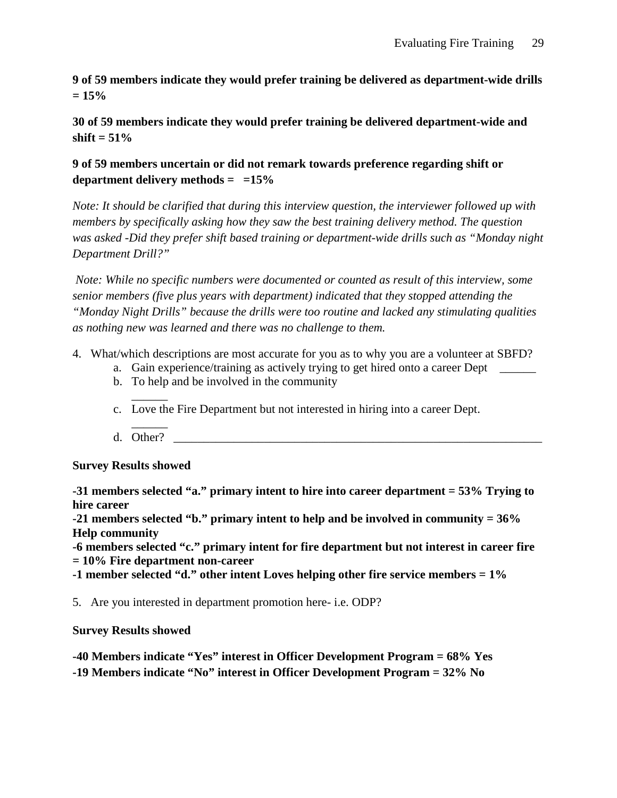**9 of 59 members indicate they would prefer training be delivered as department-wide drills = 15%**

**30 of 59 members indicate they would prefer training be delivered department-wide and shift = 51%** 

## **9 of 59 members uncertain or did not remark towards preference regarding shift or department delivery methods = =15%**

*Note: It should be clarified that during this interview question, the interviewer followed up with members by specifically asking how they saw the best training delivery method. The question was asked -Did they prefer shift based training or department-wide drills such as "Monday night Department Drill?"* 

*Note: While no specific numbers were documented or counted as result of this interview, some senior members (five plus years with department) indicated that they stopped attending the "Monday Night Drills" because the drills were too routine and lacked any stimulating qualities as nothing new was learned and there was no challenge to them.* 

- 4. What/which descriptions are most accurate for you as to why you are a volunteer at SBFD?
	- a. Gain experience/training as actively trying to get hired onto a career Dept \_\_\_\_\_\_\_
	- b. To help and be involved in the community
	- $\overline{\phantom{a}}$ c. Love the Fire Department but not interested in hiring into a career Dept.
	- $\overline{\phantom{a}}$ d. Other?

**Survey Results showed**

**-31 members selected "a." primary intent to hire into career department = 53% Trying to hire career** 

**-21 members selected "b." primary intent to help and be involved in community = 36% Help community**

**-6 members selected "c." primary intent for fire department but not interest in career fire = 10% Fire department non-career**

**-1 member selected "d." other intent Loves helping other fire service members = 1%**

5. Are you interested in department promotion here- i.e. ODP?

**Survey Results showed**

**-40 Members indicate "Yes" interest in Officer Development Program = 68% Yes -19 Members indicate "No" interest in Officer Development Program = 32% No**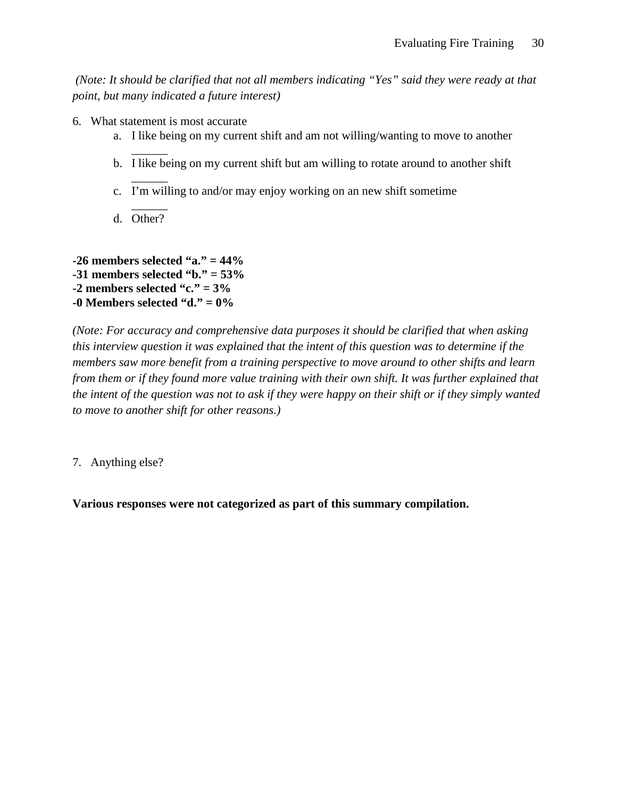*(Note: It should be clarified that not all members indicating "Yes" said they were ready at that point, but many indicated a future interest)*

- 6. What statement is most accurate
	- a. I like being on my current shift and am not willing/wanting to move to another
	- $\overline{\phantom{a}}$ b. I like being on my current shift but am willing to rotate around to another shift
	- $\overline{\phantom{a}}$ c. I'm willing to and/or may enjoy working on an new shift sometime
	- $\overline{\phantom{a}}$ d. Other?

**-26 members selected "a." = 44% -31 members selected "b." = 53% -2 members selected "c." = 3% -0 Members selected "d." = 0%**

*(Note: For accuracy and comprehensive data purposes it should be clarified that when asking this interview question it was explained that the intent of this question was to determine if the members saw more benefit from a training perspective to move around to other shifts and learn from them or if they found more value training with their own shift. It was further explained that the intent of the question was not to ask if they were happy on their shift or if they simply wanted to move to another shift for other reasons.)*

7. Anything else?

**Various responses were not categorized as part of this summary compilation.**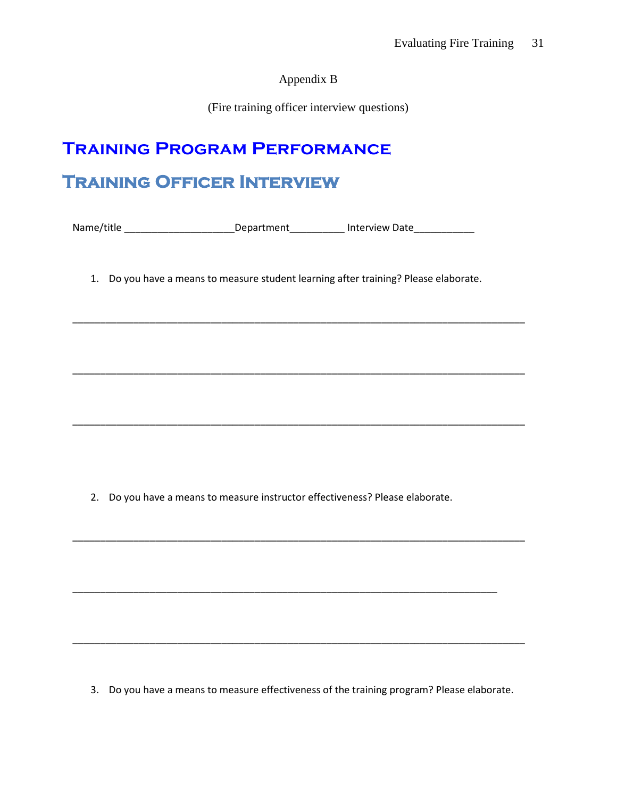Appendix B

(Fire training officer interview questions)

# **Training Program Performance**

# **Training Officer Interview**

Name/title \_\_\_\_\_\_\_\_\_\_\_\_\_\_\_\_\_\_\_\_\_\_\_\_\_\_\_\_Department\_\_\_\_\_\_\_\_\_\_\_\_\_\_ Interview Date\_\_\_\_\_\_\_\_\_\_\_\_\_\_

1. Do you have a means to measure student learning after training? Please elaborate.

 $\_$  , and the set of the set of the set of the set of the set of the set of the set of the set of the set of the set of the set of the set of the set of the set of the set of the set of the set of the set of the set of th

\_\_\_\_\_\_\_\_\_\_\_\_\_\_\_\_\_\_\_\_\_\_\_\_\_\_\_\_\_\_\_\_\_\_\_\_\_\_\_\_\_\_\_\_\_\_\_\_\_\_\_\_\_\_\_\_\_\_\_\_\_\_\_\_\_\_\_\_\_\_\_\_\_\_\_\_\_\_\_\_\_\_

 $\_$  , and the set of the set of the set of the set of the set of the set of the set of the set of the set of the set of the set of the set of the set of the set of the set of the set of the set of the set of the set of th

 $\_$  , and the set of the set of the set of the set of the set of the set of the set of the set of the set of the set of the set of the set of the set of the set of the set of the set of the set of the set of the set of th

2. Do you have a means to measure instructor effectiveness? Please elaborate.

3. Do you have a means to measure effectiveness of the training program? Please elaborate.

\_\_\_\_\_\_\_\_\_\_\_\_\_\_\_\_\_\_\_\_\_\_\_\_\_\_\_\_\_\_\_\_\_\_\_\_\_\_\_\_\_\_\_\_\_\_\_\_\_\_\_\_\_\_\_\_\_\_\_\_\_\_\_\_\_\_\_\_\_\_\_\_\_\_\_\_\_\_\_\_\_\_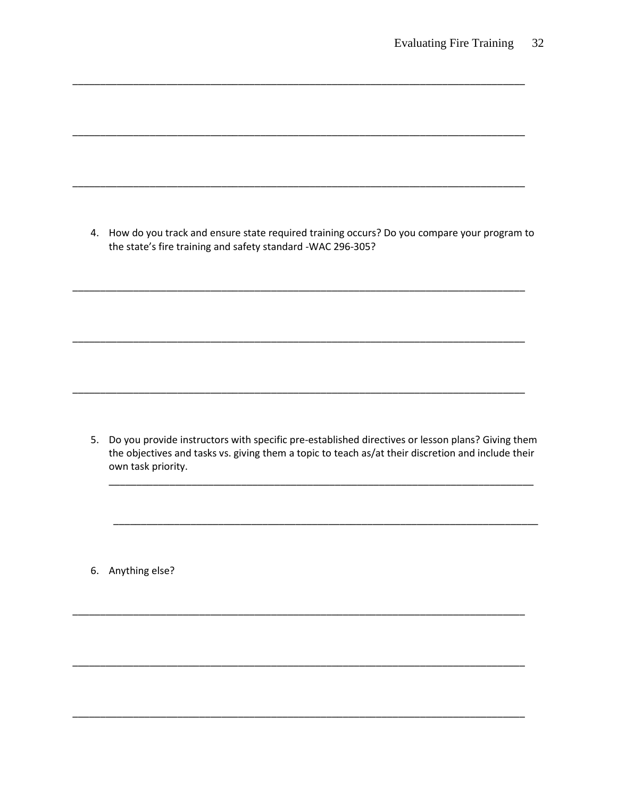4. How do you track and ensure state required training occurs? Do you compare your program to the state's fire training and safety standard -WAC 296-305?

5. Do you provide instructors with specific pre-established directives or lesson plans? Giving them the objectives and tasks vs. giving them a topic to teach as/at their discretion and include their own task priority.

6. Anything else?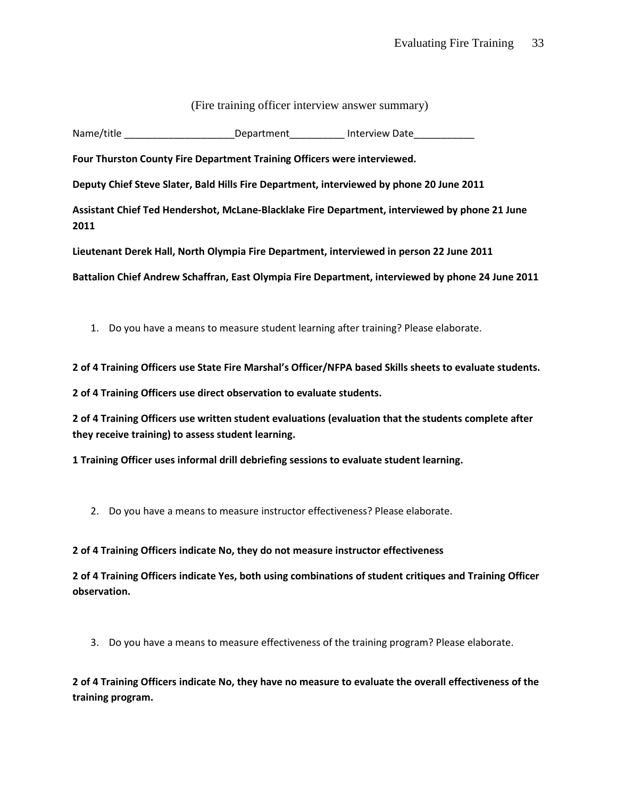| (Fire training officer interview answer summary) |  |  |
|--------------------------------------------------|--|--|
|                                                  |  |  |

Name/title **Name** Attack Cherry Department and Interview Date

**Four Thurston County Fire Department Training Officers were interviewed.**

**Deputy Chief Steve Slater, Bald Hills Fire Department, interviewed by phone 20 June 2011**

**Assistant Chief Ted Hendershot, McLane-Blacklake Fire Department, interviewed by phone 21 June 2011**

**Lieutenant Derek Hall, North Olympia Fire Department, interviewed in person 22 June 2011**

**Battalion Chief Andrew Schaffran, East Olympia Fire Department, interviewed by phone 24 June 2011**

1. Do you have a means to measure student learning after training? Please elaborate.

**2 of 4 Training Officers use State Fire Marshal's Officer/NFPA based Skills sheets to evaluate students.**

**2 of 4 Training Officers use direct observation to evaluate students.**

**2 of 4 Training Officers use written student evaluations (evaluation that the students complete after they receive training) to assess student learning.**

**1 Training Officer uses informal drill debriefing sessions to evaluate student learning.**

2. Do you have a means to measure instructor effectiveness? Please elaborate.

#### **2 of 4 Training Officers indicate No, they do not measure instructor effectiveness**

**2 of 4 Training Officers indicate Yes, both using combinations of student critiques and Training Officer observation.**

3. Do you have a means to measure effectiveness of the training program? Please elaborate.

**2 of 4 Training Officers indicate No, they have no measure to evaluate the overall effectiveness of the training program.**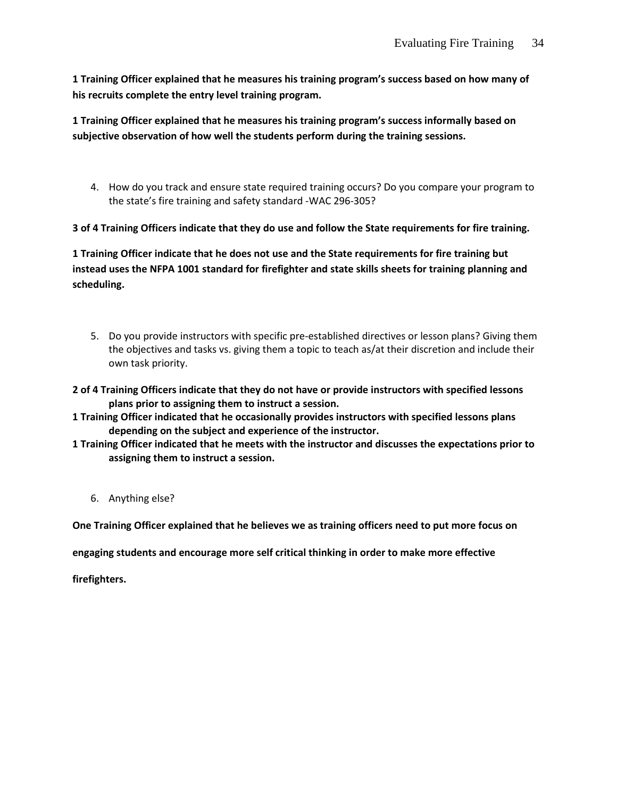**1 Training Officer explained that he measures his training program's success based on how many of his recruits complete the entry level training program.** 

**1 Training Officer explained that he measures his training program's success informally based on subjective observation of how well the students perform during the training sessions.** 

4. How do you track and ensure state required training occurs? Do you compare your program to the state's fire training and safety standard -WAC 296-305?

**3 of 4 Training Officers indicate that they do use and follow the State requirements for fire training.**

**1 Training Officer indicate that he does not use and the State requirements for fire training but instead uses the NFPA 1001 standard for firefighter and state skills sheets for training planning and scheduling.** 

- 5. Do you provide instructors with specific pre-established directives or lesson plans? Giving them the objectives and tasks vs. giving them a topic to teach as/at their discretion and include their own task priority.
- **2 of 4 Training Officers indicate that they do not have or provide instructors with specified lessons plans prior to assigning them to instruct a session.**
- **1 Training Officer indicated that he occasionally provides instructors with specified lessons plans depending on the subject and experience of the instructor.**
- **1 Training Officer indicated that he meets with the instructor and discusses the expectations prior to assigning them to instruct a session.** 
	- 6. Anything else?

**One Training Officer explained that he believes we as training officers need to put more focus on** 

**engaging students and encourage more self critical thinking in order to make more effective** 

**firefighters.**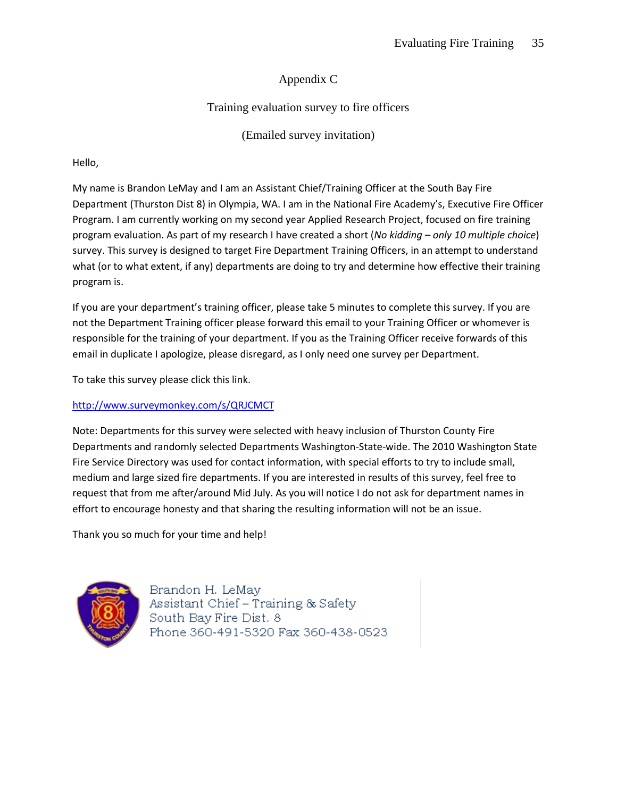# Appendix C

# Training evaluation survey to fire officers

(Emailed survey invitation)

## Hello,

My name is Brandon LeMay and I am an Assistant Chief/Training Officer at the South Bay Fire Department (Thurston Dist 8) in Olympia, WA. I am in the National Fire Academy's, Executive Fire Officer Program. I am currently working on my second year Applied Research Project, focused on fire training program evaluation. As part of my research I have created a short (*No kidding – only 10 multiple choice*) survey. This survey is designed to target Fire Department Training Officers, in an attempt to understand what (or to what extent, if any) departments are doing to try and determine how effective their training program is.

If you are your department's training officer, please take 5 minutes to complete this survey. If you are not the Department Training officer please forward this email to your Training Officer or whomever is responsible for the training of your department. If you as the Training Officer receive forwards of this email in duplicate I apologize, please disregard, as I only need one survey per Department.

To take this survey please click this link.

## <http://www.surveymonkey.com/s/QRJCMCT>

Note: Departments for this survey were selected with heavy inclusion of Thurston County Fire Departments and randomly selected Departments Washington-State-wide. The 2010 Washington State Fire Service Directory was used for contact information, with special efforts to try to include small, medium and large sized fire departments. If you are interested in results of this survey, feel free to request that from me after/around Mid July. As you will notice I do not ask for department names in effort to encourage honesty and that sharing the resulting information will not be an issue.

Thank you so much for your time and help!



Brandon H. LeMay Assistant Chief – Training & Safety South Bay Fire Dist. 8 Phone 360-491-5320 Fax 360-438-0523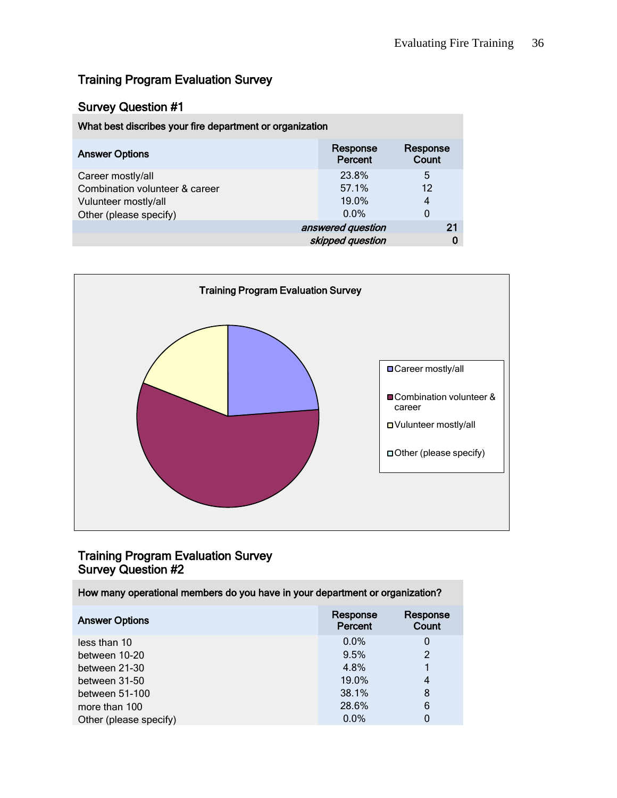# Training Program Evaluation Survey

## Survey Question #1

| What best discribes your fire department or organization |                     |                   |
|----------------------------------------------------------|---------------------|-------------------|
| <b>Answer Options</b>                                    | Response<br>Percent | Response<br>Count |
| Career mostly/all                                        | 23.8%               | 5                 |
| Combination volunteer & career                           | 57.1%               | 12                |
| Vulunteer mostly/all                                     | 19.0%               | 4                 |
| Other (please specify)                                   | $0.0\%$             | 0                 |
|                                                          | answered question   | 21                |
|                                                          | skipped question    | 0                 |



# Training Program Evaluation Survey Survey Question #2

| How many operational members do you have in your department or organization? |                     |                   |
|------------------------------------------------------------------------------|---------------------|-------------------|
| <b>Answer Options</b>                                                        | Response<br>Percent | Response<br>Count |
| less than 10                                                                 | $0.0\%$             | 0                 |
| between 10-20                                                                | 9.5%                | 2                 |
| between 21-30                                                                | 4.8%                |                   |
| between 31-50                                                                | 19.0%               | 4                 |
| between 51-100                                                               | 38.1%               | 8                 |
| more than 100                                                                | 28.6%               | 6                 |
| Other (please specify)                                                       | 0.0%                | 0                 |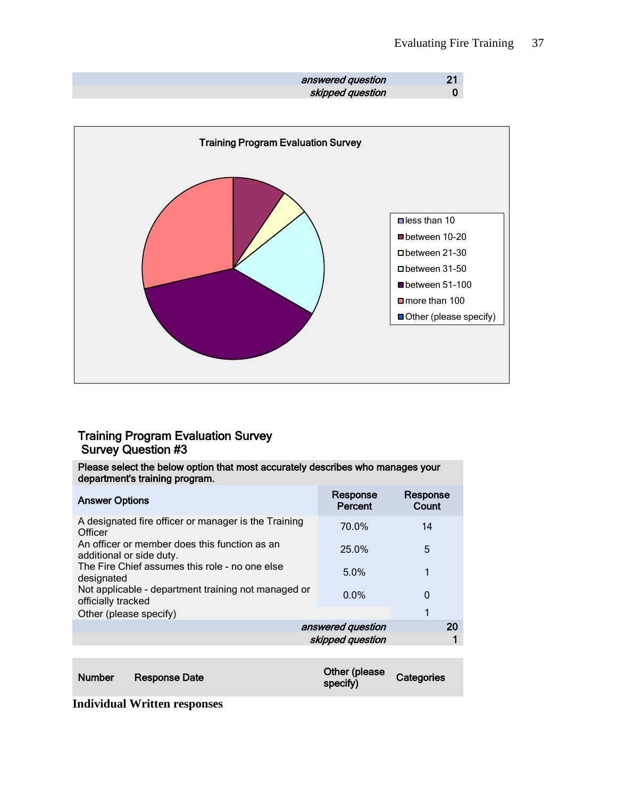| answered question |   |
|-------------------|---|
| skipped question  | 0 |



# Training Program Evaluation Survey Survey Question #3

| Please select the below option that most accurately describes who manages your<br>department's training program. |                     |                   |  |
|------------------------------------------------------------------------------------------------------------------|---------------------|-------------------|--|
| <b>Answer Options</b>                                                                                            | Response<br>Percent | Response<br>Count |  |
| A designated fire officer or manager is the Training<br>Officer                                                  | 70.0%               | 14                |  |
| An officer or member does this function as an<br>additional or side duty.                                        | 25.0%               | 5                 |  |
| The Fire Chief assumes this role - no one else<br>designated                                                     | 5.0%                |                   |  |
| Not applicable - department training not managed or<br>officially tracked                                        | $0.0\%$             | 0                 |  |
| Other (please specify)                                                                                           |                     | 1                 |  |
|                                                                                                                  | answered question   | 20                |  |
|                                                                                                                  | skipped question    |                   |  |

| <b>Number</b> | Response Date | Other (please<br>specify) | Categories |
|---------------|---------------|---------------------------|------------|
|---------------|---------------|---------------------------|------------|

**Individual Written responses**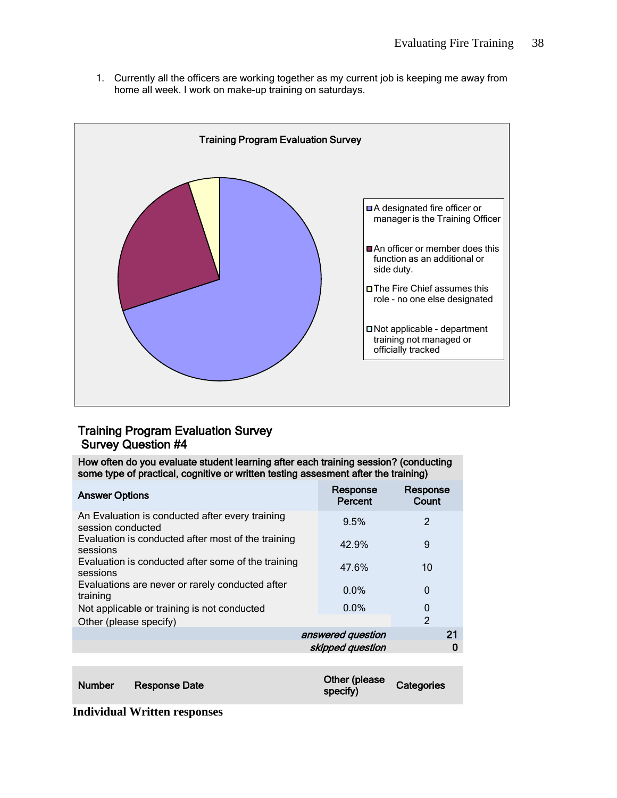1. Currently all the officers are working together as my current job is keeping me away from home all week. I work on make-up training on saturdays.



# Training Program Evaluation Survey Survey Question #4

How often do you evaluate student learning after each training session? (conducting some type of practical, cognitive or written testing assesment after the training)

| <b>Answer Options</b>                                                | Response<br>Percent | Response<br>Count |
|----------------------------------------------------------------------|---------------------|-------------------|
| An Evaluation is conducted after every training<br>session conducted | 9.5%                | $\mathfrak{p}$    |
| Evaluation is conducted after most of the training<br>sessions       | 42.9%               | 9                 |
| Evaluation is conducted after some of the training<br>sessions       | 47.6%               | 10                |
| Evaluations are never or rarely conducted after<br>training          | $0.0\%$             | 0                 |
| Not applicable or training is not conducted                          | $0.0\%$             | 0                 |
| Other (please specify)                                               |                     | $\mathfrak{D}$    |
|                                                                      | answered question   | 21                |
|                                                                      | skipped question    |                   |
|                                                                      |                     |                   |

| Response Date<br><b>Number</b> | Other (please<br>specify) | Categories |
|--------------------------------|---------------------------|------------|
|--------------------------------|---------------------------|------------|

**Individual Written responses**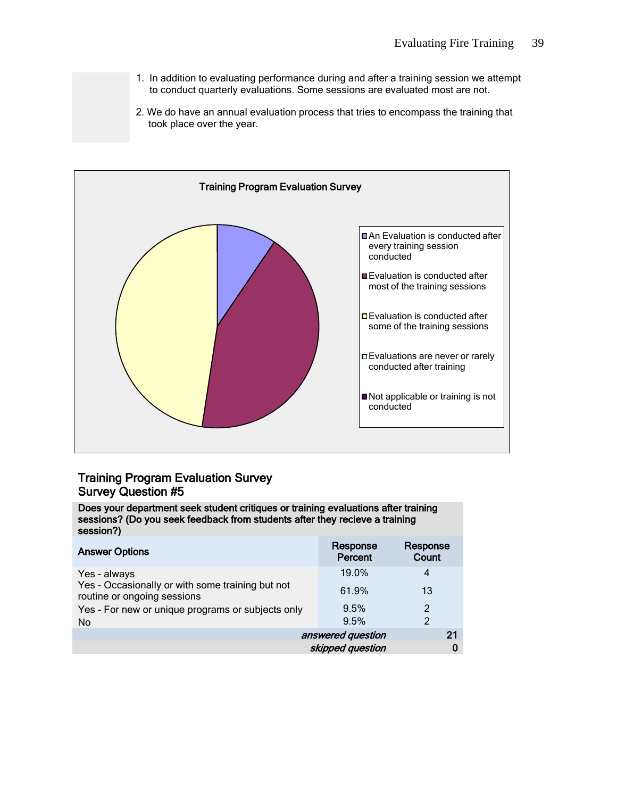- 1. In addition to evaluating performance during and after a training session we attempt to conduct quarterly evaluations. Some sessions are evaluated most are not.
- 2. We do have an annual evaluation process that tries to encompass the training that took place over the year.



## Training Program Evaluation Survey Survey Question #5

Does your department seek student critiques or training evaluations after training sessions? (Do you seek feedback from students after they recieve a training session?)

| <b>Answer Options</b>                                                           | Response<br>Percent | Response<br>Count |
|---------------------------------------------------------------------------------|---------------------|-------------------|
| Yes - always                                                                    | 19.0%               | 4                 |
| Yes - Occasionally or with some training but not<br>routine or ongoing sessions | 61.9%               | 13                |
| Yes - For new or unique programs or subjects only                               | 9.5%                | $\mathfrak{p}$    |
| N <sub>o</sub>                                                                  | 9.5%                | $\mathfrak{p}$    |
|                                                                                 | answered question   | 21                |
|                                                                                 | skipped question    |                   |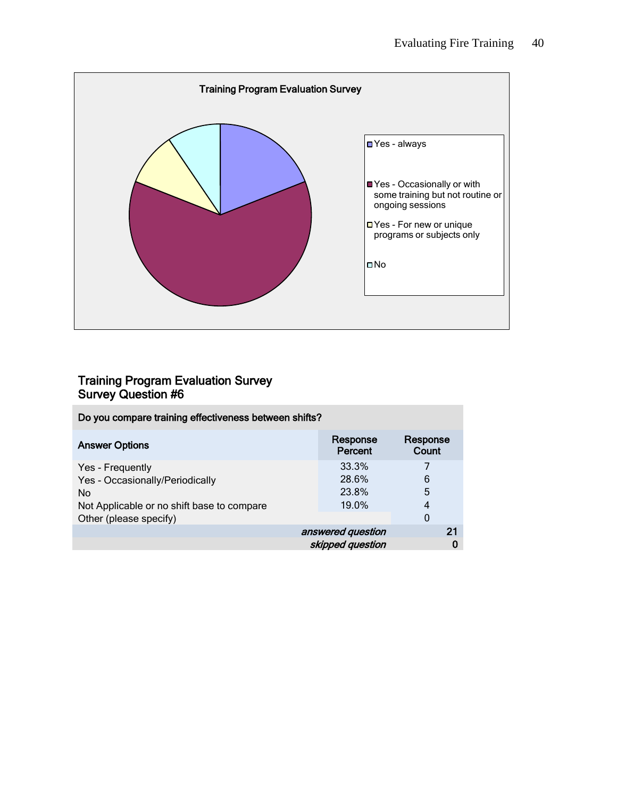

# Training Program Evaluation Survey Survey Question #6

| Do you compare training effectiveness between shifts? |                     |                   |  |
|-------------------------------------------------------|---------------------|-------------------|--|
| <b>Answer Options</b>                                 | Response<br>Percent | Response<br>Count |  |
| Yes - Frequently                                      | 33.3%               | 7                 |  |
| Yes - Occasionally/Periodically                       | 28.6%               | 6                 |  |
| <b>No</b>                                             | 23.8%               | 5                 |  |
| Not Applicable or no shift base to compare            | 19.0%               | 4                 |  |
| Other (please specify)                                |                     | 0                 |  |
|                                                       | answered question   | 21                |  |
|                                                       | skipped question    | 0                 |  |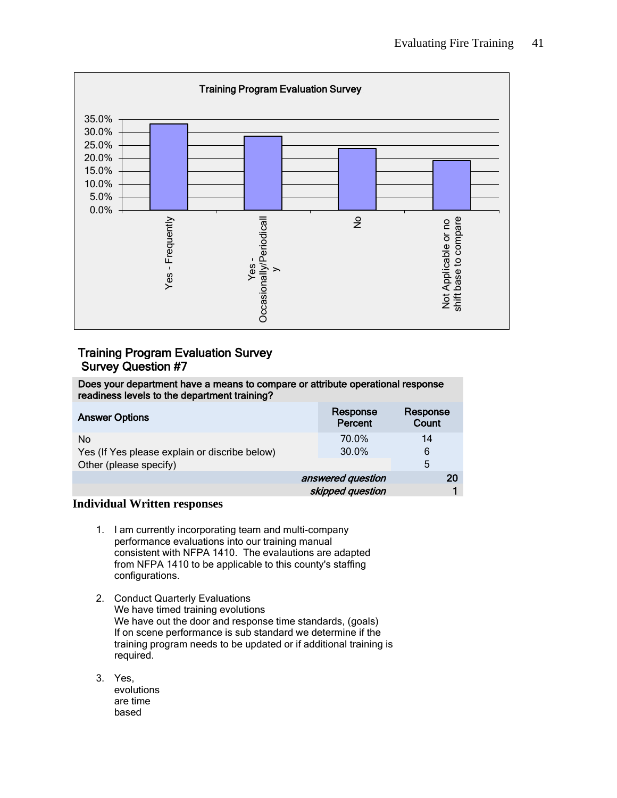

# Training Program Evaluation Survey Survey Question #7

Does your department have a means to compare or attribute operational response readiness levels to the department training?

| <b>Answer Options</b>                         | Response<br>Percent | Response<br>Count |
|-----------------------------------------------|---------------------|-------------------|
| N <sub>o</sub>                                | 70.0%               | 14                |
| Yes (If Yes please explain or discribe below) | 30.0%               | 6                 |
| Other (please specify)                        |                     | 5                 |
|                                               | answered question   | 20                |
|                                               | skipped question    |                   |

### **Individual Written responses**

- 1. I am currently incorporating team and multi-company performance evaluations into our training manual consistent with NFPA 1410. The evalautions are adapted from NFPA 1410 to be applicable to this county's staffing configurations.
- 2. Conduct Quarterly Evaluations We have timed training evolutions We have out the door and response time standards, (goals) If on scene performance is sub standard we determine if the training program needs to be updated or if additional training is required.
- 3. Yes, evolutions are time based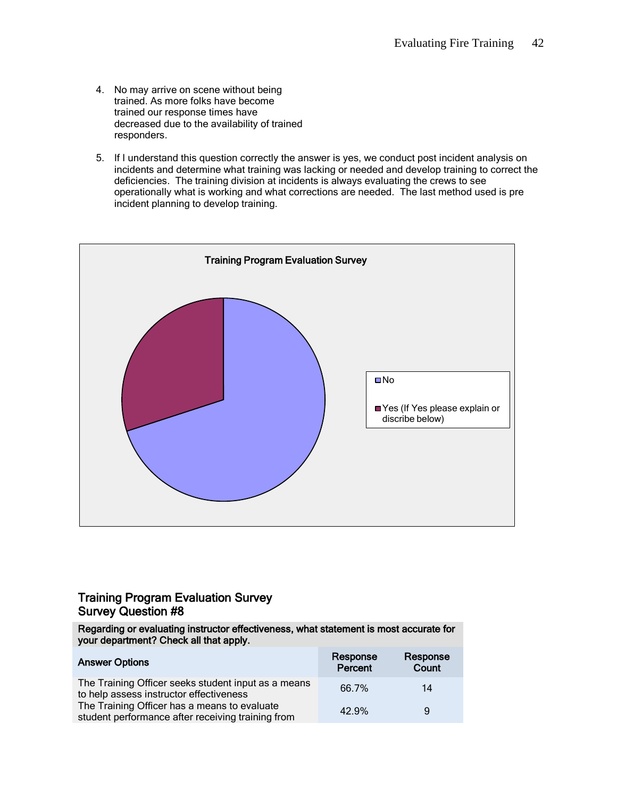- 4. No may arrive on scene without being trained. As more folks have become trained our response times have decreased due to the availability of trained responders.
- 5. If I understand this question correctly the answer is yes, we conduct post incident analysis on incidents and determine what training was lacking or needed and develop training to correct the deficiencies. The training division at incidents is always evaluating the crews to see operationally what is working and what corrections are needed. The last method used is pre incident planning to develop training.



## Training Program Evaluation Survey Survey Question #8

Regarding or evaluating instructor effectiveness, what statement is most accurate for your department? Check all that apply.

| <b>Answer Options</b>                                                                             | Response<br>Percent | Response<br>Count |
|---------------------------------------------------------------------------------------------------|---------------------|-------------------|
| The Training Officer seeks student input as a means<br>to help assess instructor effectiveness    | 66.7%               | 14                |
| The Training Officer has a means to evaluate<br>student performance after receiving training from | 42.9%               | 9                 |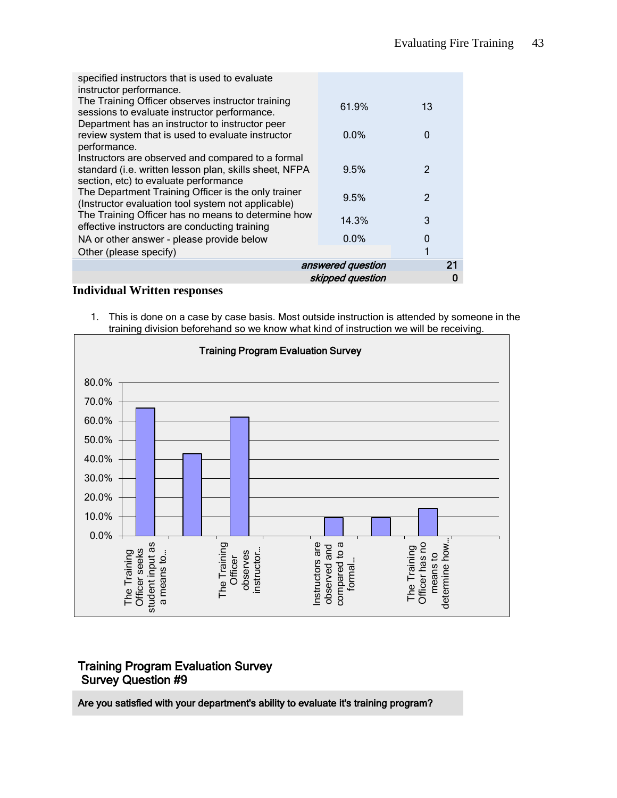| specified instructors that is used to evaluate<br>instructor performance.                                |         |               |  |
|----------------------------------------------------------------------------------------------------------|---------|---------------|--|
| The Training Officer observes instructor training<br>sessions to evaluate instructor performance.        | 61.9%   | 13            |  |
| Department has an instructor to instructor peer                                                          |         |               |  |
| review system that is used to evaluate instructor<br>performance.                                        | $0.0\%$ | 0             |  |
| Instructors are observed and compared to a formal                                                        |         |               |  |
| standard (i.e. written lesson plan, skills sheet, NFPA<br>section, etc) to evaluate performance          | 9.5%    | 2             |  |
| The Department Training Officer is the only trainer                                                      | 9.5%    | $\mathcal{P}$ |  |
| (Instructor evaluation tool system not applicable)<br>The Training Officer has no means to determine how |         |               |  |
| effective instructors are conducting training                                                            | 14.3%   | 3             |  |
| NA or other answer - please provide below                                                                | 0.0%    | 0             |  |
| Other (please specify)                                                                                   |         | 1             |  |
| 21<br>answered question                                                                                  |         |               |  |
| skipped question                                                                                         |         |               |  |

**Individual Written responses**

1. This is done on a case by case basis. Most outside instruction is attended by someone in the training division beforehand so we know what kind of instruction we will be receiving.



## Training Program Evaluation Survey Survey Question #9

Are you satisfied with your department's ability to evaluate it's training program?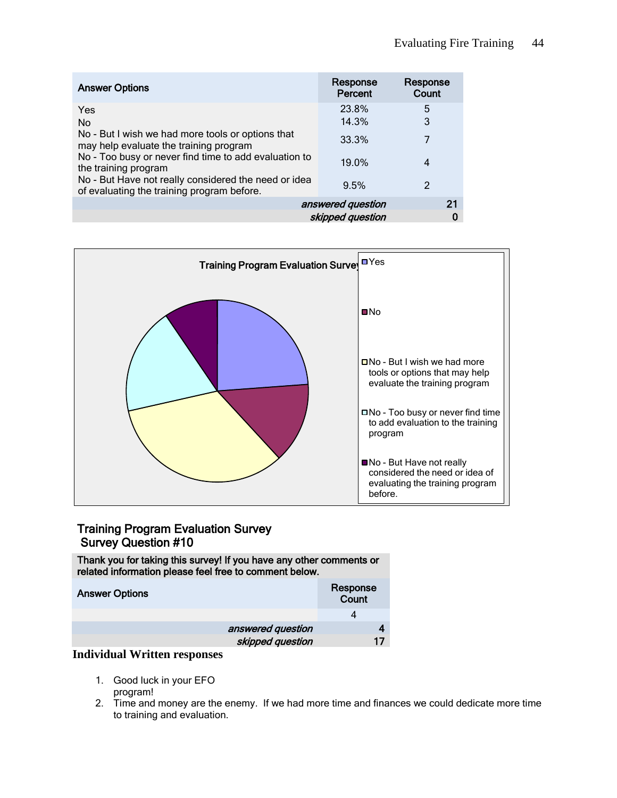| <b>Answer Options</b>                                                                              | Response<br>Percent | Response<br>Count |
|----------------------------------------------------------------------------------------------------|---------------------|-------------------|
| Yes                                                                                                | 23.8%               | 5                 |
| No                                                                                                 | 14.3%               | 3                 |
| No - But I wish we had more tools or options that<br>may help evaluate the training program        | 33.3%               | 7                 |
| No - Too busy or never find time to add evaluation to<br>the training program                      | 19.0%               | 4                 |
| No - But Have not really considered the need or idea<br>of evaluating the training program before. | 9.5%                | 2                 |
| answered question<br>21                                                                            |                     |                   |
| skipped question                                                                                   |                     |                   |



## Training Program Evaluation Survey Survey Question #10

Thank you for taking this survey! If you have any other comments or related information please feel free to comment below.

| <b>Answer Options</b> |                   | Response<br>Count |
|-----------------------|-------------------|-------------------|
|                       |                   |                   |
|                       | answered question |                   |
|                       | skipped question  | 17                |
|                       |                   |                   |

### **Individual Written responses**

- 1. Good luck in your EFO program!
- 2. Time and money are the enemy. If we had more time and finances we could dedicate more time to training and evaluation.